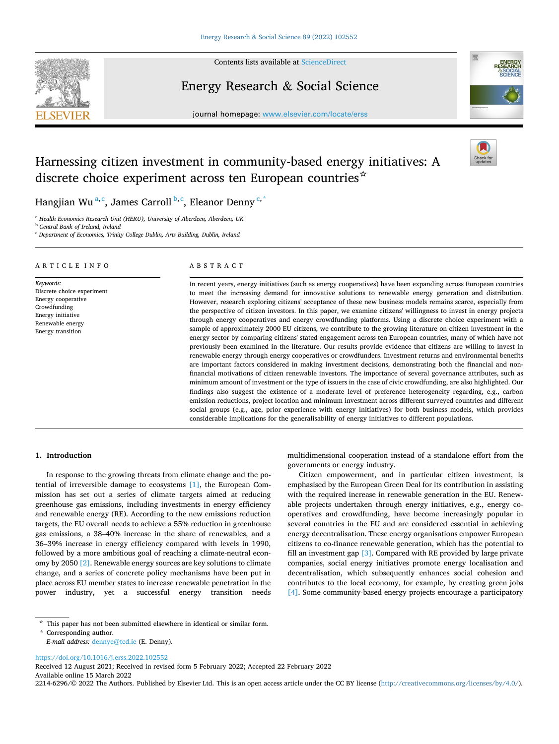

Contents lists available at [ScienceDirect](www.sciencedirect.com/science/journal/22146296)

Energy Research & Social Science





# Harnessing citizen investment in community-based energy initiatives: A discrete choice experiment across ten European countries<sup>☆</sup>



Hangjian Wu<sup>a,c</sup>, James Carroll <sup>b,c</sup>, Eleanor Denny<sup>c,\*</sup>

<sup>a</sup> *Health Economics Research Unit (HERU), University of Aberdeen, Aberdeen, UK* 

<sup>b</sup> *Central Bank of Ireland, Ireland* 

<sup>c</sup> *Department of Economics, Trinity College Dublin, Arts Building, Dublin, Ireland* 

#### ARTICLE INFO

*Keywords:*  Discrete choice experiment Energy cooperative Crowdfunding Energy initiative Renewable energy Energy transition

# ABSTRACT

In recent years, energy initiatives (such as energy cooperatives) have been expanding across European countries to meet the increasing demand for innovative solutions to renewable energy generation and distribution. However, research exploring citizens' acceptance of these new business models remains scarce, especially from the perspective of citizen investors. In this paper, we examine citizens' willingness to invest in energy projects through energy cooperatives and energy crowdfunding platforms. Using a discrete choice experiment with a sample of approximately 2000 EU citizens, we contribute to the growing literature on citizen investment in the energy sector by comparing citizens' stated engagement across ten European countries, many of which have not previously been examined in the literature. Our results provide evidence that citizens are willing to invest in renewable energy through energy cooperatives or crowdfunders. Investment returns and environmental benefits are important factors considered in making investment decisions, demonstrating both the financial and nonfinancial motivations of citizen renewable investors. The importance of several governance attributes, such as minimum amount of investment or the type of issuers in the case of civic crowdfunding, are also highlighted. Our findings also suggest the existence of a moderate level of preference heterogeneity regarding, e.g., carbon emission reductions, project location and minimum investment across different surveyed countries and different social groups (e.g., age, prior experience with energy initiatives) for both business models, which provides considerable implications for the generalisability of energy initiatives to different populations.

#### **1. Introduction**

In response to the growing threats from climate change and the potential of irreversible damage to ecosystems [\[1\],](#page-11-0) the European Commission has set out a series of climate targets aimed at reducing greenhouse gas emissions, including investments in energy efficiency and renewable energy (RE). According to the new emissions reduction targets, the EU overall needs to achieve a 55% reduction in greenhouse gas emissions, a 38–40% increase in the share of renewables, and a 36–39% increase in energy efficiency compared with levels in 1990, followed by a more ambitious goal of reaching a climate-neutral economy by 2050 [\[2\]](#page-11-0). Renewable energy sources are key solutions to climate change, and a series of concrete policy mechanisms have been put in place across EU member states to increase renewable penetration in the power industry, yet a successful energy transition needs

\* Corresponding author.

<https://doi.org/10.1016/j.erss.2022.102552>

Available online 15 March 2022 2214-6296/© 2022 The Authors. Published by Elsevier Ltd. This is an open access article under the CC BY license [\(http://creativecommons.org/licenses/by/4.0/\)](http://creativecommons.org/licenses/by/4.0/). Received 12 August 2021; Received in revised form 5 February 2022; Accepted 22 February 2022

multidimensional cooperation instead of a standalone effort from the governments or energy industry.

Citizen empowerment, and in particular citizen investment, is emphasised by the European Green Deal for its contribution in assisting with the required increase in renewable generation in the EU. Renewable projects undertaken through energy initiatives, e.g., energy cooperatives and crowdfunding, have become increasingly popular in several countries in the EU and are considered essential in achieving energy decentralisation. These energy organisations empower European citizens to co-finance renewable generation, which has the potential to fill an investment gap  $\lceil 3 \rceil$ . Compared with RE provided by large private companies, social energy initiatives promote energy localisation and decentralisation, which subsequently enhances social cohesion and contributes to the local economy, for example, by creating green jobs [\[4\].](#page-11-0) Some community-based energy projects encourage a participatory

 $\star$  This paper has not been submitted elsewhere in identical or similar form.

*E-mail address:* [dennye@tcd.ie](mailto:dennye@tcd.ie) (E. Denny).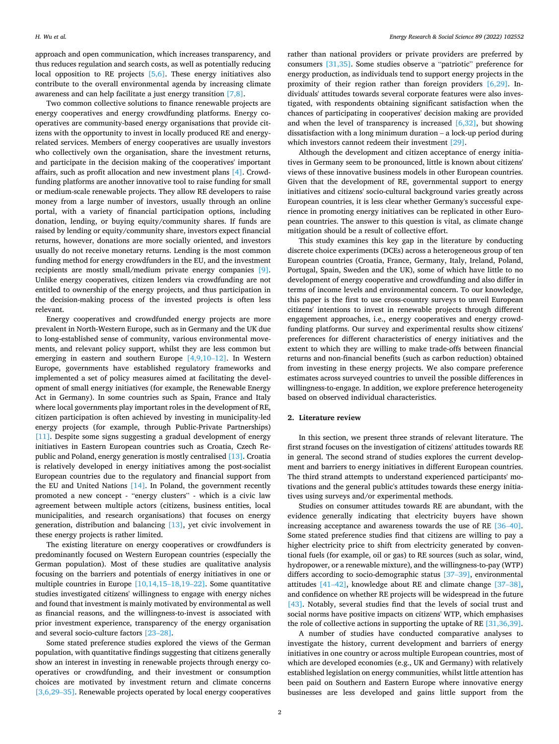approach and open communication, which increases transparency, and thus reduces regulation and search costs, as well as potentially reducing local opposition to RE projects  $[5,6]$ . These energy initiatives also contribute to the overall environmental agenda by increasing climate awareness and can help facilitate a just energy transition [\[7,8\]](#page-11-0).

Two common collective solutions to finance renewable projects are energy cooperatives and energy crowdfunding platforms. Energy cooperatives are community-based energy organisations that provide citizens with the opportunity to invest in locally produced RE and energyrelated services. Members of energy cooperatives are usually investors who collectively own the organisation, share the investment returns, and participate in the decision making of the cooperatives' important affairs, such as profit allocation and new investment plans [\[4\]](#page-11-0). Crowdfunding platforms are another innovative tool to raise funding for small or medium-scale renewable projects. They allow RE developers to raise money from a large number of investors, usually through an online portal, with a variety of financial participation options, including donation, lending, or buying equity/community shares. If funds are raised by lending or equity/community share, investors expect financial returns, however, donations are more socially oriented, and investors usually do not receive monetary returns. Lending is the most common funding method for energy crowdfunders in the EU, and the investment recipients are mostly small/medium private energy companies [\[9\]](#page-11-0). Unlike energy cooperatives, citizen lenders via crowdfunding are not entitled to ownership of the energy projects, and thus participation in the decision-making process of the invested projects is often less relevant.

Energy cooperatives and crowdfunded energy projects are more prevalent in North-Western Europe, such as in Germany and the UK due to long-established sense of community, various environmental movements, and relevant policy support, whilst they are less common but emerging in eastern and southern Europe [\[4,9,10](#page-11-0)–12]. In Western Europe, governments have established regulatory frameworks and implemented a set of policy measures aimed at facilitating the development of small energy initiatives (for example, the Renewable Energy Act in Germany). In some countries such as Spain, France and Italy where local governments play important roles in the development of RE, citizen participation is often achieved by investing in municipality-led energy projects (for example, through Public-Private Partnerships) [\[11\]](#page-11-0). Despite some signs suggesting a gradual development of energy initiatives in Eastern European countries such as Croatia, Czech Republic and Poland, energy generation is mostly centralised [\[13\].](#page-11-0) Croatia is relatively developed in energy initiatives among the post-socialist European countries due to the regulatory and financial support from the EU and United Nations [\[14\].](#page-11-0) In Poland, the government recently promoted a new concept - "energy clusters" - which is a civic law agreement between multiple actors (citizens, business entities, local municipalities, and research organisations) that focuses on energy generation, distribution and balancing [\[13\]](#page-11-0), yet civic involvement in these energy projects is rather limited.

The existing literature on energy cooperatives or crowdfunders is predominantly focused on Western European countries (especially the German population). Most of these studies are qualitative analysis focusing on the barriers and potentials of energy initiatives in one or multiple countries in Europe [\[10,14,15](#page-11-0)–18,19–22]. Some quantitative studies investigated citizens' willingness to engage with energy niches and found that investment is mainly motivated by environmental as well as financial reasons, and the willingness-to-invest is associated with prior investment experience, transparency of the energy organisation and several socio-culture factors [23–[28\].](#page-12-0)

Some stated preference studies explored the views of the German population, with quantitative findings suggesting that citizens generally show an interest in investing in renewable projects through energy cooperatives or crowdfunding, and their investment or consumption choices are motivated by investment return and climate concerns [\[3,6,29](#page-11-0)–35]. Renewable projects operated by local energy cooperatives

rather than national providers or private providers are preferred by consumers [\[31,35\].](#page-12-0) Some studies observe a "patriotic" preference for energy production, as individuals tend to support energy projects in the proximity of their region rather than foreign providers [\[6,29\]](#page-11-0). Individuals' attitudes towards several corporate features were also investigated, with respondents obtaining significant satisfaction when the chances of participating in cooperatives' decision making are provided and when the level of transparency is increased  $[6,32]$ , but showing dissatisfaction with a long minimum duration – a lock-up period during which investors cannot redeem their investment [\[29\]](#page-12-0).

Although the development and citizen acceptance of energy initiatives in Germany seem to be pronounced, little is known about citizens' views of these innovative business models in other European countries. Given that the development of RE, governmental support to energy initiatives and citizens' socio-cultural background varies greatly across European countries, it is less clear whether Germany's successful experience in promoting energy initiatives can be replicated in other European countries. The answer to this question is vital, as climate change mitigation should be a result of collective effort.

This study examines this key gap in the literature by conducting discrete choice experiments (DCEs) across a heterogeneous group of ten European countries (Croatia, France, Germany, Italy, Ireland, Poland, Portugal, Spain, Sweden and the UK), some of which have little to no development of energy cooperative and crowdfunding and also differ in terms of income levels and environmental concern. To our knowledge, this paper is the first to use cross-country surveys to unveil European citizens' intentions to invest in renewable projects through different engagement approaches, i.e., energy cooperatives and energy crowdfunding platforms. Our survey and experimental results show citizens' preferences for different characteristics of energy initiatives and the extent to which they are willing to make trade-offs between financial returns and non-financial benefits (such as carbon reduction) obtained from investing in these energy projects. We also compare preference estimates across surveyed countries to unveil the possible differences in willingness-to-engage. In addition, we explore preference heterogeneity based on observed individual characteristics.

# **2. Literature review**

In this section, we present three strands of relevant literature. The first strand focuses on the investigation of citizens' attitudes towards RE in general. The second strand of studies explores the current development and barriers to energy initiatives in different European countries. The third strand attempts to understand experienced participants' motivations and the general public's attitudes towards these energy initiatives using surveys and/or experimental methods.

Studies on consumer attitudes towards RE are abundant, with the evidence generally indicating that electricity buyers have shown increasing acceptance and awareness towards the use of RE [\[36](#page-12-0)–40]. Some stated preference studies find that citizens are willing to pay a higher electricity price to shift from electricity generated by conventional fuels (for example, oil or gas) to RE sources (such as solar, wind, hydropower, or a renewable mixture), and the willingness-to-pay (WTP) differs according to socio-demographic status [\[37](#page-12-0)-39], environmental attitudes [41–[42\]](#page-12-0), knowledge about RE and climate change [\[37](#page-12-0)–38], and confidence on whether RE projects will be widespread in the future [\[43\]](#page-12-0). Notably, several studies find that the levels of social trust and social norms have positive impacts on citizens' WTP, which emphasises the role of collective actions in supporting the uptake of RE [\[31,36,39\]](#page-12-0).

A number of studies have conducted comparative analyses to investigate the history, current development and barriers of energy initiatives in one country or across multiple European countries, most of which are developed economies (e.g., UK and Germany) with relatively established legislation on energy communities, whilst little attention has been paid on Southern and Eastern Europe where innovative energy businesses are less developed and gains little support from the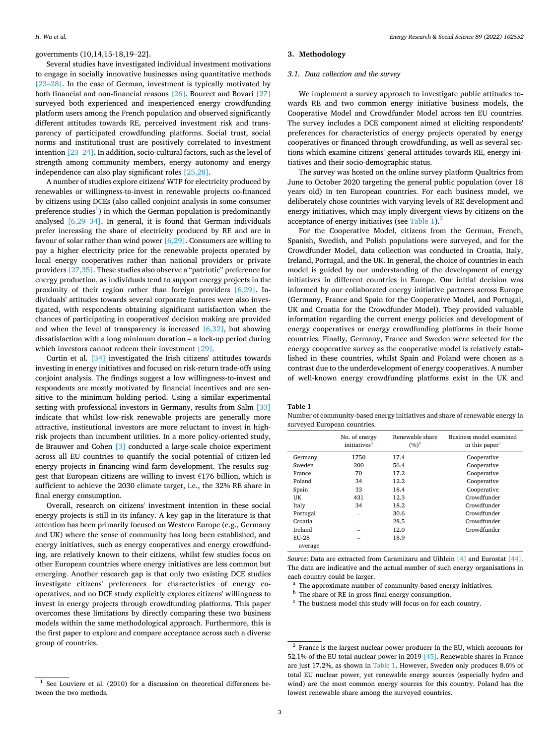# <span id="page-2-0"></span>governments (10,14,15-18,19–22].

Several studies have investigated individual investment motivations to engage in socially innovative businesses using quantitative methods [23–[28\]](#page-12-0). In the case of German, investment is typically motivated by both financial and non-financial reasons [\[26\].](#page-12-0) Bourcet and Bovari [\[27\]](#page-12-0)  surveyed both experienced and inexperienced energy crowdfunding platform users among the French population and observed significantly different attitudes towards RE, perceived investment risk and transparency of participated crowdfunding platforms. Social trust, social norms and institutional trust are positively correlated to investment intention [\[23](#page-12-0)–24]. In addition, socio-cultural factors, such as the level of strength among community members, energy autonomy and energy independence can also play significant roles [\[25,28\].](#page-12-0)

A number of studies explore citizens' WTP for electricity produced by renewables or willingness-to-invest in renewable projects co-financed by citizens using DCEs (also called conjoint analysis in some consumer preference studies<sup>1</sup>) in which the German population is predominantly analysed [\[6,29](#page-11-0)–34]. In general, it is found that German individuals prefer increasing the share of electricity produced by RE and are in favour of solar rather than wind power  $[6,29]$ . Consumers are willing to pay a higher electricity price for the renewable projects operated by local energy cooperatives rather than national providers or private providers [\[27,35\]](#page-12-0). These studies also observe a "patriotic" preference for energy production, as individuals tend to support energy projects in the proximity of their region rather than foreign providers [\[6,29\]](#page-11-0). Individuals' attitudes towards several corporate features were also investigated, with respondents obtaining significant satisfaction when the chances of participating in cooperatives' decision making are provided and when the level of transparency is increased [\[6,32\],](#page-11-0) but showing dissatisfaction with a long minimum duration – a lock-up period during which investors cannot redeem their investment [\[29\]](#page-12-0).

Curtin et al. [\[34\]](#page-12-0) investigated the Irish citizens' attitudes towards investing in energy initiatives and focused on risk-return trade-offs using conjoint analysis. The findings suggest a low willingness-to-invest and respondents are mostly motivated by financial incentives and are sensitive to the minimum holding period. Using a similar experimental setting with professional investors in Germany, results from Salm [\[33\]](#page-12-0)  indicate that whilst low-risk renewable projects are generally more attractive, institutional investors are more reluctant to invest in highrisk projects than incumbent utilities. In a more policy-oriented study, de Brauwer and Cohen [\[3\]](#page-11-0) conducted a large-scale choice experiment across all EU countries to quantify the social potential of citizen-led energy projects in financing wind farm development. The results suggest that European citizens are willing to invest €176 billion, which is sufficient to achieve the 2030 climate target, i.e., the 32% RE share in final energy consumption.

Overall, research on citizens' investment intention in these social energy projects is still in its infancy. A key gap in the literature is that attention has been primarily focused on Western Europe (e.g., Germany and UK) where the sense of community has long been established, and energy initiatives, such as energy cooperatives and energy crowdfunding, are relatively known to their citizens, whilst few studies focus on other European countries where energy initiatives are less common but emerging. Another research gap is that only two existing DCE studies investigate citizens' preferences for characteristics of energy cooperatives, and no DCE study explicitly explores citizens' willingness to invest in energy projects through crowdfunding platforms. This paper overcomes these limitations by directly comparing these two business models within the same methodological approach. Furthermore, this is the first paper to explore and compare acceptance across such a diverse group of countries.

#### **3. Methodology**

# *3.1. Data collection and the survey*

We implement a survey approach to investigate public attitudes towards RE and two common energy initiative business models, the Cooperative Model and Crowdfunder Model across ten EU countries. The survey includes a DCE component aimed at eliciting respondents' preferences for characteristics of energy projects operated by energy cooperatives or financed through crowdfunding, as well as several sections which examine citizens' general attitudes towards RE, energy initiatives and their socio-demographic status.

The survey was hosted on the online survey platform Qualtrics from June to October 2020 targeting the general public population (over 18 years old) in ten European countries. For each business model, we deliberately chose countries with varying levels of RE development and energy initiatives, which may imply divergent views by citizens on the acceptance of energy initiatives (see Table 1). $<sup>2</sup>$ </sup>

For the Cooperative Model, citizens from the German, French, Spanish, Swedish, and Polish populations were surveyed, and for the Crowdfunder Model, data collection was conducted in Croatia, Italy, Ireland, Portugal, and the UK. In general, the choice of countries in each model is guided by our understanding of the development of energy initiatives in different countries in Europe. Our initial decision was informed by our collaborated energy initiative partners across Europe (Germany, France and Spain for the Cooperative Model, and Portugal, UK and Croatia for the Crowdfunder Model). They provided valuable information regarding the current energy policies and development of energy cooperatives or energy crowdfunding platforms in their home countries. Finally, Germany, France and Sweden were selected for the energy cooperative survey as the cooperative model is relatively established in these countries, whilst Spain and Poland were chosen as a contrast due to the underdevelopment of energy cooperatives. A number of well-known energy crowdfunding platforms exist in the UK and

**Table 1** 

Number of community-based energy initiatives and share of renewable energy in surveyed European countries.

|              | No. of energy<br>initiatives <sup>a</sup> | Renewable share<br>$(%)^b$ | Business model examined<br>in this paper <sup>c</sup> |
|--------------|-------------------------------------------|----------------------------|-------------------------------------------------------|
| Germany      | 1750                                      | 17.4                       | Cooperative                                           |
| Sweden       | 200                                       | 56.4                       | Cooperative                                           |
| France       | 70                                        | 17.2                       | Cooperative                                           |
| Poland       | 34                                        | 12.2                       | Cooperative                                           |
| Spain        | 33                                        | 18.4                       | Cooperative                                           |
| UK           | 431                                       | 12.3                       | Crowdfunder                                           |
| Italy        | 34                                        | 18.2                       | Crowdfunder                                           |
| Portugal     | -                                         | 30.6                       | Crowdfunder                                           |
| Croatia      |                                           | 28.5                       | Crowdfunder                                           |
| Ireland      |                                           | 12.0                       | Crowdfunder                                           |
| <b>EU-28</b> |                                           | 18.9                       |                                                       |
| average      |                                           |                            |                                                       |

*Source*: Data are extracted from Caramizaru and Uihlein [\[4\]](#page-11-0) and Eurostat [\[44\].](#page-12-0) The data are indicative and the actual number of such energy organisations in each country could be larger.<br><sup>a</sup> The approximate number of community-based energy initiatives.<br><sup>b</sup> The share of RE in gross final energy consumption.<br><sup>c</sup> The business model this study will focus on for each country.

 $1$  See Louviere et al. (2010) for a discussion on theoretical differences between the two methods.

<sup>2</sup> France is the largest nuclear power producer in the EU, which accounts for 52.1% of the EU total nuclear power in 2019 [\[45\].](#page-12-0) Renewable shares in France are just 17.2%, as shown in Table 1. However, Sweden only produces 8.6% of total EU nuclear power, yet renewable energy sources (especially hydro and wind) are the most common energy sources for this country. Poland has the lowest renewable share among the surveyed countries.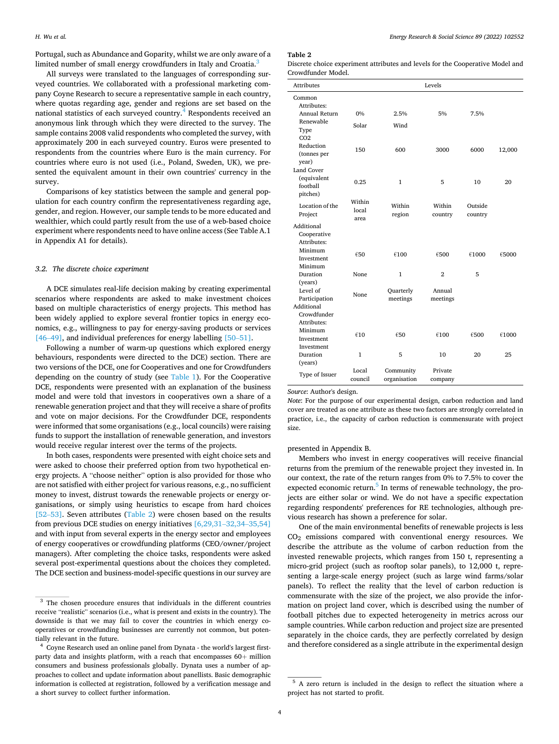Portugal, such as Abundance and Goparity, whilst we are only aware of a limited number of small energy crowdfunders in Italy and Croatia.<sup>3</sup>

All surveys were translated to the languages of corresponding surveyed countries. We collaborated with a professional marketing company Coyne Research to secure a representative sample in each country, where quotas regarding age, gender and regions are set based on the national statistics of each surveyed country.<sup>4</sup> Respondents received an anonymous link through which they were directed to the survey. The sample contains 2008 valid respondents who completed the survey, with approximately 200 in each surveyed country. Euros were presented to respondents from the countries where Euro is the main currency. For countries where euro is not used (i.e., Poland, Sweden, UK), we presented the equivalent amount in their own countries' currency in the survey.

Comparisons of key statistics between the sample and general population for each country confirm the representativeness regarding age, gender, and region. However, our sample tends to be more educated and wealthier, which could partly result from the use of a web-based choice experiment where respondents need to have online access (See Table A.1 in Appendix A1 for details).

#### *3.2. The discrete choice experiment*

A DCE simulates real-life decision making by creating experimental scenarios where respondents are asked to make investment choices based on multiple characteristics of energy projects. This method has been widely applied to explore several frontier topics in energy economics, e.g., willingness to pay for energy-saving products or services [46–[49\]](#page-12-0), and individual preferences for energy labelling [50–[51\].](#page-12-0)

Following a number of warm-up questions which explored energy behaviours, respondents were directed to the DCE) section. There are two versions of the DCE, one for Cooperatives and one for Crowdfunders depending on the country of study (see [Table 1](#page-2-0)). For the Cooperative DCE, respondents were presented with an explanation of the business model and were told that investors in cooperatives own a share of a renewable generation project and that they will receive a share of profits and vote on major decisions. For the Crowdfunder DCE, respondents were informed that some organisations (e.g., local councils) were raising funds to support the installation of renewable generation, and investors would receive regular interest over the terms of the projects.

In both cases, respondents were presented with eight choice sets and were asked to choose their preferred option from two hypothetical energy projects. A "choose neither" option is also provided for those who are not satisfied with either project for various reasons, e.g., no sufficient money to invest, distrust towards the renewable projects or energy organisations, or simply using heuristics to escape from hard choices [52–[53\]](#page-12-0). Seven attributes (Table 2) were chosen based on the results from previous DCE studies on energy initiatives [\[6,29,31](#page-11-0)–32,34–35,54] and with input from several experts in the energy sector and employees of energy cooperatives or crowdfunding platforms (CEO/owner/project managers). After completing the choice tasks, respondents were asked several post-experimental questions about the choices they completed. The DCE section and business-model-specific questions in our survey are

#### **Table 2**

Discrete choice experiment attributes and levels for the Cooperative Model and Crowdfunder Model.

| <b>Attributes</b>                                                            |                         |                           | Levels             |                    |             |
|------------------------------------------------------------------------------|-------------------------|---------------------------|--------------------|--------------------|-------------|
| Common<br>Attributes:                                                        |                         |                           |                    |                    |             |
| Annual Return                                                                | 0%                      | 2.5%                      | 5%                 | 7.5%               |             |
| Renewable<br>Type<br>CO <sub>2</sub>                                         | Solar                   | Wind                      |                    |                    |             |
| Reduction<br>(tonnes per<br>year)                                            | 150                     | 600                       | 3000               | 6000               | 12,000      |
| Land Cover<br>(equivalent<br>football<br>pitches)                            | 0.25                    | $\mathbf{1}$              | 5                  | 10                 | 20          |
| Location of the<br>Project                                                   | Within<br>local<br>area | Within<br>region          | Within<br>country  | Outside<br>country |             |
| Additional<br>Cooperative<br>Attributes:<br>Minimum<br>Investment<br>Minimum | €50                     | €100                      | €500               | €1000              | €5000       |
| Duration                                                                     | <b>None</b>             | 1                         | $\mathbf{2}$       | 5                  |             |
| (years)<br>Level of<br>Participation<br>Additional<br>Crowdfunder            | <b>None</b>             | Quarterly<br>meetings     | Annual<br>meetings |                    |             |
| Attributes:<br>Minimum<br>Investment<br>Investment<br>Duration               | 610<br>1                | €50<br>5                  | €100<br>10         | €500<br>20         | €1000<br>25 |
| (years)                                                                      |                         |                           |                    |                    |             |
| Type of Issuer                                                               | Local<br>council        | Community<br>organisation | Private<br>company |                    |             |

*Source*: Author's design.

*Note*: For the purpose of our experimental design, carbon reduction and land cover are treated as one attribute as these two factors are strongly correlated in practice, i.e., the capacity of carbon reduction is commensurate with project size.

#### presented in Appendix B.

Members who invest in energy cooperatives will receive financial returns from the premium of the renewable project they invested in. In our context, the rate of the return ranges from 0% to 7.5% to cover the expected economic return.<sup>5</sup> In terms of renewable technology, the projects are either solar or wind. We do not have a specific expectation regarding respondents' preferences for RE technologies, although previous research has shown a preference for solar.

One of the main environmental benefits of renewable projects is less CO2 emissions compared with conventional energy resources. We describe the attribute as the volume of carbon reduction from the invested renewable projects, which ranges from 150 t, representing a micro-grid project (such as rooftop solar panels), to 12,000 t, representing a large-scale energy project (such as large wind farms/solar panels). To reflect the reality that the level of carbon reduction is commensurate with the size of the project, we also provide the information on project land cover, which is described using the number of football pitches due to expected heterogeneity in metrics across our sample countries. While carbon reduction and project size are presented separately in the choice cards, they are perfectly correlated by design and therefore considered as a single attribute in the experimental design

<sup>&</sup>lt;sup>3</sup> The chosen procedure ensures that individuals in the different countries receive "realistic" scenarios (i.e., what is present and exists in the country). The downside is that we may fail to cover the countries in which energy cooperatives or crowdfunding businesses are currently not common, but potentially relevant in the future.<br><sup>4</sup> Coyne Research used an online panel from Dynata - the world's largest first-

party data and insights platform, with a reach that encompasses 60+ million consumers and business professionals globally. Dynata uses a number of approaches to collect and update information about panellists. Basic demographic information is collected at registration, followed by a verification message and a short survey to collect further information.

<sup>5</sup> A zero return is included in the design to reflect the situation where a project has not started to profit.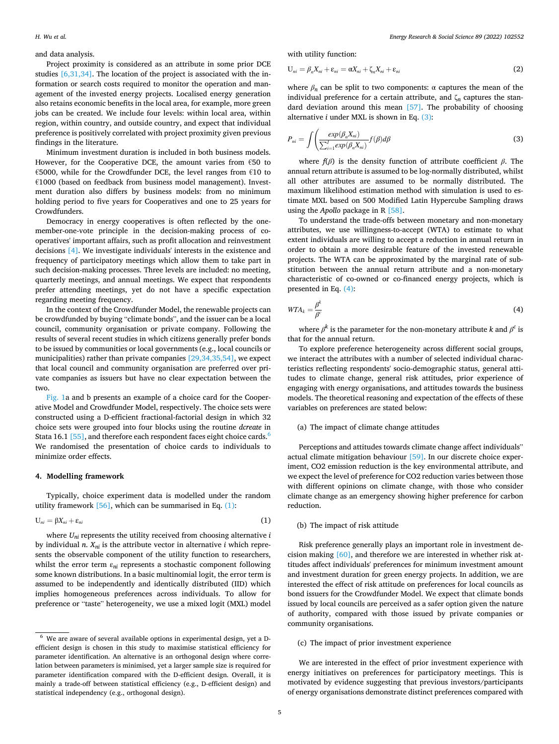# <span id="page-4-0"></span>and data analysis.

Project proximity is considered as an attribute in some prior DCE studies [\[6,31,34\]](#page-11-0). The location of the project is associated with the information or search costs required to monitor the operation and management of the invested energy projects. Localised energy generation also retains economic benefits in the local area, for example, more green jobs can be created. We include four levels: within local area, within region, within country, and outside country, and expect that individual preference is positively correlated with project proximity given previous findings in the literature.

Minimum investment duration is included in both business models. However, for the Cooperative DCE, the amount varies from €50 to €5000, while for the Crowdfunder DCE, the level ranges from €10 to €1000 (based on feedback from business model management). Investment duration also differs by business models: from no minimum holding period to five years for Cooperatives and one to 25 years for Crowdfunders.

Democracy in energy cooperatives is often reflected by the onemember-one-vote principle in the decision-making process of cooperatives' important affairs, such as profit allocation and reinvestment decisions [\[4\]](#page-11-0). We investigate individuals' interests in the existence and frequency of participatory meetings which allow them to take part in such decision-making processes. Three levels are included: no meeting, quarterly meetings, and annual meetings. We expect that respondents prefer attending meetings, yet do not have a specific expectation regarding meeting frequency.

In the context of the Crowdfunder Model, the renewable projects can be crowdfunded by buying "climate bonds", and the issuer can be a local council, community organisation or private company. Following the results of several recent studies in which citizens generally prefer bonds to be issued by communities or local governments (e.g., local councils or municipalities) rather than private companies [\[29,34,35,54\],](#page-12-0) we expect that local council and community organisation are preferred over private companies as issuers but have no clear expectation between the two.

[Fig. 1a](#page-5-0) and b presents an example of a choice card for the Cooperative Model and Crowdfunder Model, respectively. The choice sets were constructed using a D-efficient fractional-factorial design in which 32 choice sets were grouped into four blocks using the routine *dcreate* in Stata 16.1 [\[55\]](#page-12-0), and therefore each respondent faces eight choice cards.<sup>6</sup> We randomised the presentation of choice cards to individuals to minimize order effects.

# **4. Modelling framework**

Typically, choice experiment data is modelled under the random utility framework  $[56]$ , which can be summarised in Eq.  $(1)$ :

$$
U_{ni} = \beta X_{ni} + \varepsilon_{ni} \tag{1}
$$

where  $U_{ni}$  represents the utility received from choosing alternative  $i$ by individual  $n$ .  $X_{ni}$  is the attribute vector in alternative  $i$  which represents the observable component of the utility function to researchers, whilst the error term  $\varepsilon_{ni}$  represents a stochastic component following some known distributions. In a basic multinomial logit, the error term is assumed to be independently and identically distributed (IID) which implies homogeneous preferences across individuals. To allow for preference or "taste" heterogeneity, we use a mixed logit (MXL) model

with utility function:

$$
U_{ni} = \beta_n X_{ni} + \varepsilon_{ni} = \alpha X_{ni} + \zeta_n X_{ni} + \varepsilon_{ni}
$$
\n(2)

where  $\beta_n$  can be split to two components:  $\alpha$  captures the mean of the individual preference for a certain attribute, and  $\zeta_n$  captures the standard deviation around this mean [\[57\].](#page-12-0) The probability of choosing alternative *i* under MXL is shown in Eq. (3):

$$
P_{ni} = \int \left( \frac{exp(\beta_n X_{ni})}{\sum_{i=1}^I exp(\beta_n X_{ni})} f(\beta) d\beta \right)
$$
 (3)

where *f*(*β*) is the density function of attribute coefficient *β*. The annual return attribute is assumed to be log-normally distributed, whilst all other attributes are assumed to be normally distributed. The maximum likelihood estimation method with simulation is used to estimate MXL based on 500 Modified Latin Hypercube Sampling draws using the *Apollo* package in R [\[58\]](#page-12-0).

To understand the trade-offs between monetary and non-monetary attributes, we use willingness-to-accept (WTA) to estimate to what extent individuals are willing to accept a reduction in annual return in order to obtain a more desirable feature of the invested renewable projects. The WTA can be approximated by the marginal rate of substitution between the annual return attribute and a non-monetary characteristic of co-owned or co-financed energy projects, which is presented in Eq. (4):

$$
WTA_k = \frac{\beta^k}{\beta^c} \tag{4}
$$

where  $\beta^k$  is the parameter for the non-monetary attribute *k* and  $\beta^c$  is that for the annual return.

To explore preference heterogeneity across different social groups, we interact the attributes with a number of selected individual characteristics reflecting respondents' socio-demographic status, general attitudes to climate change, general risk attitudes, prior experience of engaging with energy organisations, and attitudes towards the business models. The theoretical reasoning and expectation of the effects of these variables on preferences are stated below:

# (a) The impact of climate change attitudes

Perceptions and attitudes towards climate change affect individuals" actual climate mitigation behaviour [\[59\].](#page-12-0) In our discrete choice experiment, CO2 emission reduction is the key environmental attribute, and we expect the level of preference for CO2 reduction varies between those with different opinions on climate change, with those who consider climate change as an emergency showing higher preference for carbon reduction.

# (b) The impact of risk attitude

Risk preference generally plays an important role in investment decision making [\[60\],](#page-12-0) and therefore we are interested in whether risk attitudes affect individuals' preferences for minimum investment amount and investment duration for green energy projects. In addition, we are interested the effect of risk attitude on preferences for local councils as bond issuers for the Crowdfunder Model. We expect that climate bonds issued by local councils are perceived as a safer option given the nature of authority, compared with those issued by private companies or community organisations.

# (c) The impact of prior investment experience

We are interested in the effect of prior investment experience with energy initiatives on preferences for participatory meetings. This is motivated by evidence suggesting that previous investors/participants of energy organisations demonstrate distinct preferences compared with

 $^6\,$  We are aware of several available options in experimental design, yet a Defficient design is chosen in this study to maximise statistical efficiency for parameter identification. An alternative is an orthogonal design where correlation between parameters is minimised, yet a larger sample size is required for parameter identification compared with the D-efficient design. Overall, it is mainly a trade-off between statistical efficiency (e.g., D-efficient design) and statistical independency (e.g., orthogonal design).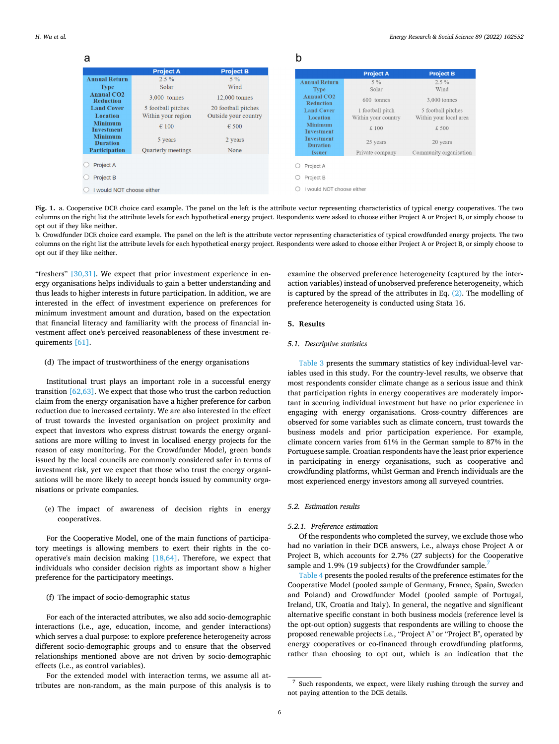<span id="page-5-0"></span>

| а                                     |                                          |                                             | b                                          |                                         |                                              |
|---------------------------------------|------------------------------------------|---------------------------------------------|--------------------------------------------|-----------------------------------------|----------------------------------------------|
|                                       | <b>Project A</b>                         | <b>Project B</b>                            |                                            | <b>Project A</b>                        | <b>Project B</b>                             |
| <b>Annual Return</b><br><b>Type</b>   | $2.5\%$<br><b>Solar</b>                  | $5\%$<br>Wind                               | <b>Annual Return</b><br><b>Type</b>        | $5\%$<br>Solar                          | $2.5\%$<br>Wind                              |
| <b>Annual CO2</b><br><b>Reduction</b> | 3,000 tonnes                             | 12,000 tonnes                               | Annual CO <sub>2</sub><br><b>Reduction</b> | 600 tonnes                              | 3,000 tonnes                                 |
| <b>Land Cover</b><br>Location         | 5 football pitches<br>Within your region | 20 football pitches<br>Outside your country | <b>Land Cover</b><br>Location              | 1 football pitch<br>Within your country | 5 football pitches<br>Within your local area |
| <b>Minimum</b><br><b>Investment</b>   | $\epsilon$ 100                           | $\epsilon$ 500                              | <b>Minimum</b><br><b>Investment</b>        | £ 100                                   | £ 500                                        |
| <b>Minimum</b><br><b>Duration</b>     | 5 years                                  | 2 years                                     | <b>Investment</b><br><b>Duration</b>       | 25 years                                | 20 years                                     |
| <b>Participation</b>                  | Quarterly meetings                       | None                                        | <b>Issuer</b>                              | Private company                         | Community organisation                       |
| Project A                             |                                          |                                             | Project A                                  |                                         |                                              |
| <b>Project B</b>                      |                                          |                                             | Project B                                  |                                         |                                              |
| would NOT choose either               |                                          |                                             | would NOT choose either                    |                                         |                                              |

**Fig. 1.** a. Cooperative DCE choice card example. The panel on the left is the attribute vector representing characteristics of typical energy cooperatives. The two columns on the right list the attribute levels for each hypothetical energy project. Respondents were asked to choose either Project A or Project B, or simply choose to opt out if they like neither.

b. Crowdfunder DCE choice card example. The panel on the left is the attribute vector representing characteristics of typical crowdfunded energy projects. The two columns on the right list the attribute levels for each hypothetical energy project. Respondents were asked to choose either Project A or Project B, or simply choose to opt out if they like neither.

"freshers"  $[30,31]$ . We expect that prior investment experience in energy organisations helps individuals to gain a better understanding and thus leads to higher interests in future participation. In addition, we are interested in the effect of investment experience on preferences for minimum investment amount and duration, based on the expectation that financial literacy and familiarity with the process of financial investment affect one's perceived reasonableness of these investment requirements [\[61\]](#page-12-0).

# (d) The impact of trustworthiness of the energy organisations

Institutional trust plays an important role in a successful energy transition [\[62,63\].](#page-12-0) We expect that those who trust the carbon reduction claim from the energy organisation have a higher preference for carbon reduction due to increased certainty. We are also interested in the effect of trust towards the invested organisation on project proximity and expect that investors who express distrust towards the energy organisations are more willing to invest in localised energy projects for the reason of easy monitoring. For the Crowdfunder Model, green bonds issued by the local councils are commonly considered safer in terms of investment risk, yet we expect that those who trust the energy organisations will be more likely to accept bonds issued by community organisations or private companies.

(e) The impact of awareness of decision rights in energy cooperatives.

For the Cooperative Model, one of the main functions of participatory meetings is allowing members to exert their rights in the cooperative's main decision making [\[18,64\]](#page-12-0). Therefore, we expect that individuals who consider decision rights as important show a higher preference for the participatory meetings.

# (f) The impact of socio-demographic status

For each of the interacted attributes, we also add socio-demographic interactions (i.e., age, education, income, and gender interactions) which serves a dual purpose: to explore preference heterogeneity across different socio-demographic groups and to ensure that the observed relationships mentioned above are not driven by socio-demographic effects (i.e., as control variables).

For the extended model with interaction terms, we assume all attributes are non-random, as the main purpose of this analysis is to examine the observed preference heterogeneity (captured by the interaction variables) instead of unobserved preference heterogeneity, which is captured by the spread of the attributes in Eq. [\(2\)](#page-4-0). The modelling of preference heterogeneity is conducted using Stata 16.

#### **5. Results**

#### *5.1. Descriptive statistics*

[Table 3](#page-6-0) presents the summary statistics of key individual-level variables used in this study. For the country-level results, we observe that most respondents consider climate change as a serious issue and think that participation rights in energy cooperatives are moderately important in securing individual investment but have no prior experience in engaging with energy organisations. Cross-country differences are observed for some variables such as climate concern, trust towards the business models and prior participation experience. For example, climate concern varies from 61% in the German sample to 87% in the Portuguese sample. Croatian respondents have the least prior experience in participating in energy organisations, such as cooperative and crowdfunding platforms, whilst German and French individuals are the most experienced energy investors among all surveyed countries.

# *5.2. Estimation results*

#### *5.2.1. Preference estimation*

Of the respondents who completed the survey, we exclude those who had no variation in their DCE answers, i.e., always chose Project A or Project B, which accounts for 2.7% (27 subjects) for the Cooperative sample and 1.9% (19 subjects) for the Crowdfunder sample.<sup>7</sup>

[Table 4](#page-7-0) presents the pooled results of the preference estimates for the Cooperative Model (pooled sample of Germany, France, Spain, Sweden and Poland) and Crowdfunder Model (pooled sample of Portugal, Ireland, UK, Croatia and Italy). In general, the negative and significant alternative specific constant in both business models (reference level is the opt-out option) suggests that respondents are willing to choose the proposed renewable projects i.e., "Project A" or "Project B", operated by energy cooperatives or co-financed through crowdfunding platforms, rather than choosing to opt out, which is an indication that the

<sup>7</sup> Such respondents, we expect, were likely rushing through the survey and not paying attention to the DCE details.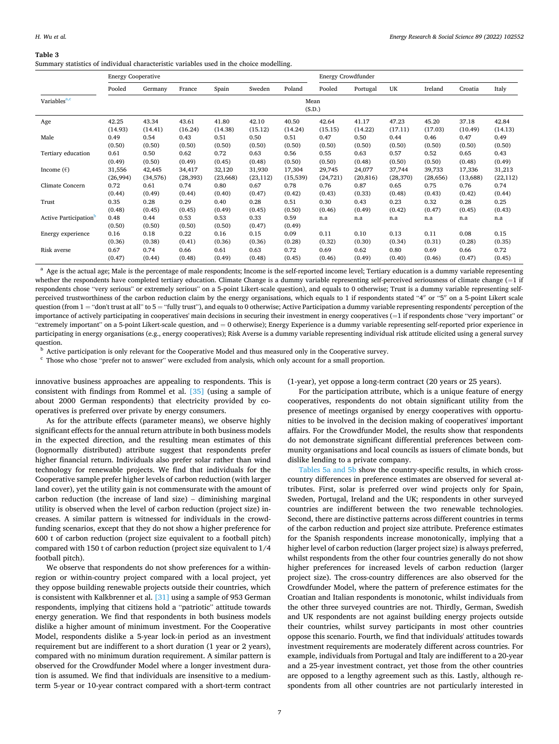#### <span id="page-6-0"></span>**Table 3**

Summary statistics of individual characteristic variables used in the choice modelling.

|                          | <b>Energy Cooperative</b> |                |                |                |                | Energy Crowdfunder |          |           |           |           |          |           |
|--------------------------|---------------------------|----------------|----------------|----------------|----------------|--------------------|----------|-----------|-----------|-----------|----------|-----------|
|                          | Pooled                    | Germany        | France         | Spain          | Sweden         | Poland             | Pooled   | Portugal  | UK        | Ireland   | Croatia  | Italy     |
| Variables <sup>a,c</sup> | Mean<br>(S.D.)            |                |                |                |                |                    |          |           |           |           |          |           |
| Age                      | 42.25                     | 43.34          | 43.61          | 41.80          | 42.10          | 40.50              | 42.64    | 41.17     | 47.23     | 45.20     | 37.18    | 42.84     |
|                          | (14.93)                   | (14.41)        | (16.24)        | (14.38)        | (15.12)        | (14.24)            | (15.15)  | (14.22)   | (17.11)   | (17.03)   | (10.49)  | (14.13)   |
| Male                     | 0.49                      | 0.54           | 0.43           | 0.51           | 0.50           | 0.51               | 0.47     | 0.50      | 0.44      | 0.46      | 0.47     | 0.49      |
|                          | (0.50)                    | (0.50)         | (0.50)         | (0.50)         | (0.50)         | (0.50)             | (0.50)   | (0.50)    | (0.50)    | (0.50)    | (0.50)   | (0.50)    |
| Tertiary education       | 0.61                      | 0.50           | 0.62           | 0.72           | 0.63           | 0.56               | 0.55     | 0.63      | 0.57      | 0.52      | 0.65     | 0.43      |
|                          | (0.49)                    | (0.50)         | (0.49)         | (0.45)         | (0.48)         | (0.50)             | (0.50)   | (0.48)    | (0.50)    | (0.50)    | (0.48)   | (0.49)    |
| Income $(\epsilon)$      | 31,556                    | 42,445         | 34,417         | 32,120         | 31,930         | 17,304             | 29,745   | 24,077    | 37,744    | 39,733    | 17,336   | 31,213    |
|                          | (26,994)                  | (34, 576)      | (28, 393)      | (23,668)       | (23, 112)      | (15, 539)          | (24,721) | (20, 816) | (28, 370) | (28, 656) | (13,688) | (22, 112) |
| Climate Concern          | 0.72                      | 0.61           | 0.74           | 0.80           | 0.67           | 0.78               | 0.76     | 0.87      | 0.65      | 0.75      | 0.76     | 0.74      |
|                          | (0.44)                    | (0.49)         | (0.44)         | (0.40)         | (0.47)         | (0.42)             | (0.43)   | (0.33)    | (0.48)    | (0.43)    | (0.42)   | (0.44)    |
| Trust                    | 0.35                      | 0.28           | 0.29           | 0.40           | 0.28           | 0.51               | 0.30     | 0.43      | 0.23      | 0.32      | 0.28     | 0.25      |
|                          | (0.48)                    | (0.45)         | (0.45)         | (0.49)         | (0.45)         | (0.50)             | (0.46)   | (0.49)    | (0.42)    | (0.47)    | (0.45)   | (0.43)    |
| Active Participation     | 0.48<br>(0.50)            | 0.44<br>(0.50) | 0.53<br>(0.50) | 0.53<br>(0.50) | 0.33<br>(0.47) | 0.59<br>(0.49)     | n.a      | n.a       | n.a       | n.a       | n.a      | n.a       |
| Energy experience        | 0.16                      | 0.18           | 0.22           | 0.16           | 0.15           | 0.09               | 0.11     | 0.10      | 0.13      | 0.11      | 0.08     | 0.15      |
|                          | (0.36)                    | (0.38)         | (0.41)         | (0.36)         | (0.36)         | (0.28)             | (0.32)   | (0.30)    | (0.34)    | (0.31)    | (0.28)   | (0.35)    |
| Risk averse              | 0.67                      | 0.74           | 0.66           | 0.61           | 0.63           | 0.72               | 0.69     | 0.62      | 0.80      | 0.69      | 0.66     | 0.72      |
|                          | (0.47)                    | (0.44)         | (0.48)         | (0.49)         | (0.48)         | (0.45)             | (0.46)   | (0.49)    | (0.40)    | (0.46)    | (0.47)   | (0.45)    |

<sup>a</sup> Age is the actual age; Male is the percentage of male respondents; Income is the self-reported income level; Tertiary education is a dummy variable representing whether the respondents have completed tertiary education. Climate Change is a dummy variable representing self-perceived seriousness of climate change (=1 if respondents chose "very serious" or extremely serious" on a 5-point Likert-scale question), and equals to 0 otherwise; Trust is a dummy variable representing selfperceived trustworthiness of the carbon reduction claim by the energy organisations, which equals to 1 if respondents stated "4′′ or "5′′ on a 5-point Likert scale question (from 1 = "don't trust at all" to 5 = "fully trust"), and equals to 0 otherwise; Active Participation a dummy variable representing respondents' perception of the importance of actively participating in cooperatives' main decisions in securing their investment in energy cooperatives (=1 if respondents chose "very important" or "extremely important" on a 5-point Likert-scale question, and = 0 otherwise); Energy Experience is a dummy variable representing self-reported prior experience in participating in energy organisations (e.g., energy cooperatives); Risk Averse is a dummy variable representing individual risk attitude elicited using a general survey question.<br><sup>b</sup> Active participation is only relevant for the Cooperative Model and thus measured only in the Cooperative survey.

 $^{\rm c}$  Those who chose "prefer not to answer" were excluded from analysis, which only account for a small proportion.

innovative business approaches are appealing to respondents. This is consistent with findings from Rommel et al. [\[35\]](#page-12-0) (using a sample of about 2000 German respondents) that electricity provided by cooperatives is preferred over private by energy consumers.

As for the attribute effects (parameter means), we observe highly significant effects for the annual return attribute in both business models in the expected direction, and the resulting mean estimates of this (lognormally distributed) attribute suggest that respondents prefer higher financial return. Individuals also prefer solar rather than wind technology for renewable projects. We find that individuals for the Cooperative sample prefer higher levels of carbon reduction (with larger land cover), yet the utility gain is not commensurate with the amount of carbon reduction (the increase of land size) – diminishing marginal utility is observed when the level of carbon reduction (project size) increases. A similar pattern is witnessed for individuals in the crowdfunding scenarios, except that they do not show a higher preference for 600 t of carbon reduction (project size equivalent to a football pitch) compared with 150 t of carbon reduction (project size equivalent to 1/4 football pitch).

We observe that respondents do not show preferences for a withinregion or within-country project compared with a local project, yet they oppose building renewable projects outside their countries, which is consistent with Kalkbrenner et al. [\[31\]](#page-12-0) using a sample of 953 German respondents, implying that citizens hold a "patriotic" attitude towards energy generation. We find that respondents in both business models dislike a higher amount of minimum investment. For the Cooperative Model, respondents dislike a 5-year lock-in period as an investment requirement but are indifferent to a short duration (1 year or 2 years), compared with no minimum duration requirement. A similar pattern is observed for the Crowdfunder Model where a longer investment duration is assumed. We find that individuals are insensitive to a mediumterm 5-year or 10-year contract compared with a short-term contract (1-year), yet oppose a long-term contract (20 years or 25 years).

For the participation attribute, which is a unique feature of energy cooperatives, respondents do not obtain significant utility from the presence of meetings organised by energy cooperatives with opportunities to be involved in the decision making of cooperatives' important affairs. For the Crowdfunder Model, the results show that respondents do not demonstrate significant differential preferences between community organisations and local councils as issuers of climate bonds, but dislike lending to a private company.

[Tables 5a and 5b](#page-8-0) show the country-specific results, in which crosscountry differences in preference estimates are observed for several attributes. First, solar is preferred over wind projects only for Spain, Sweden, Portugal, Ireland and the UK; respondents in other surveyed countries are indifferent between the two renewable technologies. Second, there are distinctive patterns across different countries in terms of the carbon reduction and project size attribute. Preference estimates for the Spanish respondents increase monotonically, implying that a higher level of carbon reduction (larger project size) is always preferred, whilst respondents from the other four countries generally do not show higher preferences for increased levels of carbon reduction (larger project size). The cross-country differences are also observed for the Crowdfunder Model, where the pattern of preference estimates for the Croatian and Italian respondents is monotonic, whilst individuals from the other three surveyed countries are not. Thirdly, German, Swedish and UK respondents are not against building energy projects outside their countries, whilst survey participants in most other countries oppose this scenario. Fourth, we find that individuals' attitudes towards investment requirements are moderately different across countries. For example, individuals from Portugal and Italy are indifferent to a 20-year and a 25-year investment contract, yet those from the other countries are opposed to a lengthy agreement such as this. Lastly, although respondents from all other countries are not particularly interested in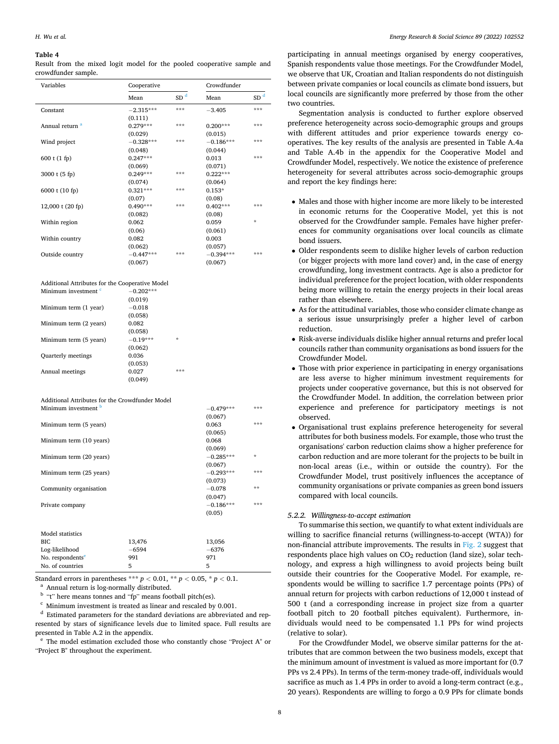#### <span id="page-7-0"></span>**Table 4**

Result from the mixed logit model for the pooled cooperative sample and crowdfunder sample.

| Variables                  | Cooperative |                 | Crowdfunder |                 |
|----------------------------|-------------|-----------------|-------------|-----------------|
|                            | Mean        | SD <sup>d</sup> | Mean        | SD <sup>d</sup> |
| Constant                   | $-2.315***$ | ***             | $-3.405$    | ***             |
|                            | (0.111)     |                 |             |                 |
| Annual return <sup>a</sup> | $0.279***$  | ***             | $0.200***$  | ***             |
|                            | (0.029)     |                 | (0.015)     |                 |
| Wind project               | $-0.328***$ | ***             | $-0.186***$ | ***             |
|                            | (0.048)     |                 | (0.044)     |                 |
| 600 t (1 fp)               | $0.247***$  |                 | 0.013       | ***             |
|                            | (0.069)     |                 | (0.071)     |                 |
| 3000 t (5 fp)              | $0.249***$  | ***             | $0.222***$  |                 |
|                            | (0.074)     |                 | (0.064)     |                 |
| 6000 t (10 fp)             | $0.321***$  | ***             | $0.153*$    |                 |
|                            | (0.07)      |                 | (0.08)      |                 |
| 12,000 t (20 fp)           | $0.490***$  | ***             | $0.402***$  | ***             |
|                            | (0.082)     |                 | (0.08)      |                 |
| Within region              | 0.062       |                 | 0.059       | $\star$         |
|                            | (0.06)      |                 | (0.061)     |                 |
| Within country             | 0.082       |                 | 0.003       |                 |
|                            | (0.062)     |                 | (0.057)     |                 |
| Outside country            | $-0.447***$ | ***             | $-0.394***$ | ***             |
|                            | (0.067)     |                 | (0.067)     |                 |

| Additional Attributes for the Cooperative Model |             |  |  |  |  |  |  |
|-------------------------------------------------|-------------|--|--|--|--|--|--|
| Minimum investment <sup>c</sup>                 | $-0.202***$ |  |  |  |  |  |  |
|                                                 | (0.019)     |  |  |  |  |  |  |
| Minimum term (1 year)                           | $-0.018$    |  |  |  |  |  |  |
|                                                 | (0.058)     |  |  |  |  |  |  |
| Minimum term (2 years)                          | 0.082       |  |  |  |  |  |  |

|                           | (0.058)    |     |
|---------------------------|------------|-----|
| Minimum term (5 years)    | $-0.19***$ | ÷   |
|                           | (0.062)    |     |
| <b>Quarterly meetings</b> | 0.036      |     |
|                           | (0.053)    |     |
| Annual meetings           | 0.027      | *** |
|                           | (0.049)    |     |

Additional Attributes for the Crowdfunder Model Minimum investment  $\frac{b}{2}$   $\qquad \qquad -0.479***$  \*\*\*

|                              |         | (0.067)     |         |  |
|------------------------------|---------|-------------|---------|--|
| Minimum term (5 years)       |         | 0.063       | ***     |  |
|                              |         | (0.065)     |         |  |
| Minimum term (10 years)      |         | 0.068       |         |  |
|                              |         | (0.069)     |         |  |
| Minimum term (20 years)      |         | $-0.285***$ | $\star$ |  |
|                              |         | (0.067)     |         |  |
| Minimum term (25 years)      |         | $-0.293***$ | ***     |  |
|                              |         | (0.073)     |         |  |
| Community organisation       |         | $-0.078$    |         |  |
|                              |         | (0.047)     |         |  |
| Private company              |         | $-0.186***$ | ***     |  |
|                              |         | (0.05)      |         |  |
|                              |         |             |         |  |
| Model statistics             |         |             |         |  |
| BIC                          | 13,476  | 13,056      |         |  |
| Log-likelihood               | $-6594$ | $-6376$     |         |  |
| No. respondents <sup>e</sup> | 991     | 971         |         |  |
| No. of countries             | 5       | 5           |         |  |
|                              |         |             |         |  |

Standard errors in parentheses \*\*\*  $p < 0.01$ , \*\*  $p < 0.05$ , \*  $p < 0.1$ .<br>
<sup>a</sup> Annual return is log-normally distributed.<br>
<sup>b</sup> "t" here means tonnes and "fp" means football pitch(es).<br>
<sup>c</sup> Minimum investment is treated as l

resented by stars of significance levels due to limited space. Full results are presented in Table A.2 in the appendix.  $\rm ^e$  The model estimation excluded those who constantly chose "Project A" or

"Project B" throughout the experiment.

participating in annual meetings organised by energy cooperatives, Spanish respondents value those meetings. For the Crowdfunder Model, we observe that UK, Croatian and Italian respondents do not distinguish between private companies or local councils as climate bond issuers, but local councils are significantly more preferred by those from the other two countries.

Segmentation analysis is conducted to further explore observed preference heterogeneity across socio-demographic groups and groups with different attitudes and prior experience towards energy cooperatives. The key results of the analysis are presented in Table A.4a and Table A.4b in the appendix for the Cooperative Model and Crowdfunder Model, respectively. We notice the existence of preference heterogeneity for several attributes across socio-demographic groups and report the key findings here:

- Males and those with higher income are more likely to be interested in economic returns for the Cooperative Model, yet this is not observed for the Crowdfunder sample. Females have higher preferences for community organisations over local councils as climate bond issuers.
- Older respondents seem to dislike higher levels of carbon reduction (or bigger projects with more land cover) and, in the case of energy crowdfunding, long investment contracts. Age is also a predictor for individual preference for the project location, with older respondents being more willing to retain the energy projects in their local areas rather than elsewhere.
- As for the attitudinal variables, those who consider climate change as a serious issue unsurprisingly prefer a higher level of carbon reduction.
- Risk-averse individuals dislike higher annual returns and prefer local councils rather than community organisations as bond issuers for the Crowdfunder Model.
- Those with prior experience in participating in energy organisations are less averse to higher minimum investment requirements for projects under cooperative governance, but this is not observed for the Crowdfunder Model. In addition, the correlation between prior experience and preference for participatory meetings is not observed.
- Organisational trust explains preference heterogeneity for several attributes for both business models. For example, those who trust the organisations' carbon reduction claims show a higher preference for carbon reduction and are more tolerant for the projects to be built in non-local areas (i.e., within or outside the country). For the Crowdfunder Model, trust positively influences the acceptance of community organisations or private companies as green bond issuers compared with local councils.

# *5.2.2. Willingness-to-accept estimation*

To summarise this section, we quantify to what extent individuals are willing to sacrifice financial returns (willingness-to-accept (WTA)) for non-financial attribute improvements. The results in [Fig. 2](#page-10-0) suggest that respondents place high values on  $CO<sub>2</sub>$  reduction (land size), solar technology, and express a high willingness to avoid projects being built outside their countries for the Cooperative Model. For example, respondents would be willing to sacrifice 1.7 percentage points (PPs) of annual return for projects with carbon reductions of 12,000 t instead of 500 t (and a corresponding increase in project size from a quarter football pitch to 20 football pitches equivalent). Furthermore, individuals would need to be compensated 1.1 PPs for wind projects (relative to solar).

For the Crowdfunder Model, we observe similar patterns for the attributes that are common between the two business models, except that the minimum amount of investment is valued as more important for (0.7 PPs vs 2.4 PPs). In terms of the term-money trade-off, individuals would sacrifice as much as 1.4 PPs in order to avoid a long-term contract (e.g., 20 years). Respondents are willing to forgo a 0.9 PPs for climate bonds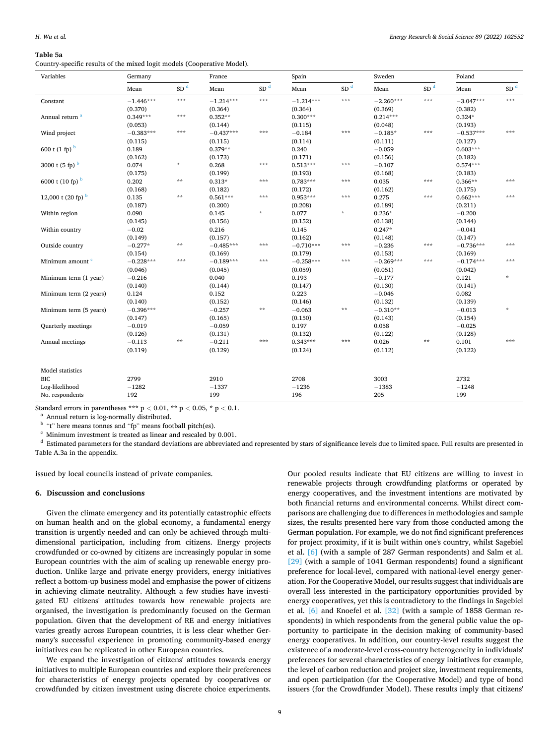#### <span id="page-8-0"></span>**Table 5a**

Country-specific results of the mixed logit models (Cooperative Model).

| Variables                      | Germany     |                 | France      |                 | Spain       |                    | Sweden      |                 | Poland      |                 |
|--------------------------------|-------------|-----------------|-------------|-----------------|-------------|--------------------|-------------|-----------------|-------------|-----------------|
|                                | Mean        | SD <sup>d</sup> | Mean        | SD <sup>d</sup> | Mean        | SD <sup>d</sup>    | Mean        | SD <sup>d</sup> | Mean        | SD <sup>d</sup> |
| Constant                       | $-1.446***$ | ***             | $-1.214***$ | $* * *$         | $-1.214***$ | $\star\star\star$  | $-2.260***$ | ***             | $-3.047***$ | $***$           |
|                                | (0.370)     |                 | (0.364)     |                 | (0.364)     |                    | (0.369)     |                 | (0.382)     |                 |
| Annual return <sup>a</sup>     | $0.349***$  | ***             | $0.352**$   |                 | $0.300***$  |                    | $0.214***$  |                 | $0.324*$    |                 |
|                                | (0.053)     |                 | (0.144)     |                 | (0.115)     |                    | (0.048)     |                 | (0.193)     |                 |
| Wind project                   | $-0.383***$ | ***             | $-0.437***$ | ***             | $-0.184$    | $* * *$            | $-0.185*$   | ***             | $-0.537***$ | ***             |
|                                | (0.115)     |                 | (0.115)     |                 | (0.114)     |                    | (0.111)     |                 | (0.127)     |                 |
| $600$ t (1 fp) $^{\rm b}$      | 0.189       |                 | $0.379**$   |                 | 0.240       |                    | $-0.059$    |                 | $0.603***$  |                 |
|                                | (0.162)     |                 | (0.173)     |                 | (0.171)     |                    | (0.156)     |                 | (0.182)     |                 |
| 3000 t $(5$ fp) $b$            | 0.074       | $\star$         | 0.268       | $* * *$         | $0.513***$  | $\star\star\star$  | $-0.107$    |                 | $0.574***$  |                 |
|                                | (0.175)     |                 | (0.199)     |                 | (0.193)     |                    | (0.168)     |                 | (0.183)     |                 |
| 6000 t $(10$ fp) $b$           | 0.202       | $* *$           | $0.313*$    | ***             | $0.783***$  | $* * *$            | 0.035       | ***             | $0.366**$   | ***             |
|                                | (0.168)     |                 | (0.182)     |                 | (0.172)     |                    | (0.162)     |                 | (0.175)     |                 |
| 12,000 t (20 fp) $\frac{b}{b}$ | 0.135       | $* *$           | $0.561***$  | $* * *$         | $0.953***$  | $\star\star\star$  | 0.275       | ***             | $0.662***$  | ***             |
|                                | (0.187)     |                 | (0.200)     |                 | (0.208)     |                    | (0.189)     |                 | (0.211)     |                 |
| Within region                  | 0.090       |                 | 0.145       | $\star$         | 0.077       | $\dot{\mathbf{x}}$ | $0.236*$    |                 | $-0.200$    |                 |
|                                | (0.145)     |                 | (0.156)     |                 | (0.152)     |                    | (0.138)     |                 | (0.144)     |                 |
| Within country                 | $-0.02$     |                 | 0.216       |                 | 0.145       |                    | $0.247*$    |                 | $-0.041$    |                 |
|                                | (0.149)     |                 | (0.157)     |                 | (0.162)     |                    | (0.148)     |                 | (0.147)     |                 |
| Outside country                | $-0.277*$   | $**$            | $-0.485***$ | $* * *$         | $-0.710***$ | $\star\star\star$  | $-0.236$    | ***             | $-0.736***$ | ***             |
|                                | (0.154)     |                 | (0.169)     |                 | (0.179)     |                    | (0.153)     |                 | (0.169)     |                 |
| Minimum amount <sup>c</sup>    | $-0.228***$ | ***             | $-0.189***$ | ***             | $-0.258***$ | $* * *$            | $-0.269***$ | ***             | $-0.174***$ | ***             |
|                                | (0.046)     |                 | (0.045)     |                 | (0.059)     |                    | (0.051)     |                 | (0.042)     |                 |
| Minimum term (1 year)          | $-0.216$    |                 | 0.040       |                 | 0.193       |                    | $-0.177$    |                 | 0.121       | $\star$         |
|                                | (0.140)     |                 | (0.144)     |                 | (0.147)     |                    | (0.130)     |                 | (0.141)     |                 |
| Minimum term (2 years)         | 0.124       |                 | 0.152       |                 | 0.223       |                    | $-0.046$    |                 | 0.082       |                 |
|                                | (0.140)     |                 | (0.152)     |                 | (0.146)     |                    | (0.132)     |                 | (0.139)     |                 |
| Minimum term (5 years)         | $-0.396***$ |                 | $-0.257$    | $\star$ $\star$ | $-0.063$    | $\pm\pm$           | $-0.310**$  |                 | $-0.013$    | $\star$         |
|                                | (0.147)     |                 | (0.165)     |                 | (0.150)     |                    | (0.143)     |                 | (0.154)     |                 |
| <b>Quarterly</b> meetings      | $-0.019$    |                 | $-0.059$    |                 | 0.197       |                    | 0.058       |                 | $-0.025$    |                 |
|                                | (0.126)     |                 | (0.131)     |                 | (0.132)     |                    | (0.122)     |                 | (0.128)     |                 |
| Annual meetings                | $-0.113$    | $* *$           | $-0.211$    | ***             | $0.343***$  | $* * *$            | 0.026       | **              | 0.101       | ***             |
|                                | (0.119)     |                 | (0.129)     |                 | (0.124)     |                    | (0.112)     |                 | (0.122)     |                 |
|                                |             |                 |             |                 |             |                    |             |                 |             |                 |
| Model statistics               |             |                 |             |                 |             |                    |             |                 |             |                 |
| <b>BIC</b>                     | 2799        |                 | 2910        |                 | 2708        |                    | 3003        |                 | 2732        |                 |
| Log-likelihood                 | $-1282$     |                 | $-1337$     |                 | $-1236$     |                    | $-1383$     |                 | $-1248$     |                 |
| No. respondents                | 192         |                 | 199         |                 | 196         |                    | 205         |                 | 199         |                 |

Standard errors in parentheses \*\*\*  $p < 0.01$ , \*\*  $p < 0.05$ , \*  $p < 0.1$ .<br><sup>a</sup> Annual return is log-normally distributed.<br><sup>b</sup> "t" here means tonnes and "fp" means football pitch(es).<br><sup>c</sup> Minimum investment is treated as line Table A.3a in the appendix.

issued by local councils instead of private companies.

# **6. Discussion and conclusions**

Given the climate emergency and its potentially catastrophic effects on human health and on the global economy, a fundamental energy transition is urgently needed and can only be achieved through multidimensional participation, including from citizens. Energy projects crowdfunded or co-owned by citizens are increasingly popular in some European countries with the aim of scaling up renewable energy production. Unlike large and private energy providers, energy initiatives reflect a bottom-up business model and emphasise the power of citizens in achieving climate neutrality. Although a few studies have investigated EU citizens' attitudes towards how renewable projects are organised, the investigation is predominantly focused on the German population. Given that the development of RE and energy initiatives varies greatly across European countries, it is less clear whether Germany's successful experience in promoting community-based energy initiatives can be replicated in other European countries.

We expand the investigation of citizens' attitudes towards energy initiatives to multiple European countries and explore their preferences for characteristics of energy projects operated by cooperatives or crowdfunded by citizen investment using discrete choice experiments.

Our pooled results indicate that EU citizens are willing to invest in renewable projects through crowdfunding platforms or operated by energy cooperatives, and the investment intentions are motivated by both financial returns and environmental concerns. Whilst direct comparisons are challenging due to differences in methodologies and sample sizes, the results presented here vary from those conducted among the German population. For example, we do not find significant preferences for project proximity, if it is built within one's country, whilst Sagebiel et al. [\[6\]](#page-11-0) (with a sample of 287 German respondents) and Salm et al. [\[29\]](#page-12-0) (with a sample of 1041 German respondents) found a significant preference for local-level, compared with national-level energy generation. For the Cooperative Model, our results suggest that individuals are overall less interested in the participatory opportunities provided by energy cooperatives, yet this is contradictory to the findings in Sagebiel et al. [\[6\]](#page-11-0) and Knoefel et al. [\[32\]](#page-12-0) (with a sample of 1858 German respondents) in which respondents from the general public value the opportunity to participate in the decision making of community-based energy cooperatives. In addition, our country-level results suggest the existence of a moderate-level cross-country heterogeneity in individuals' preferences for several characteristics of energy initiatives for example, the level of carbon reduction and project size, investment requirements, and open participation (for the Cooperative Model) and type of bond issuers (for the Crowdfunder Model). These results imply that citizens'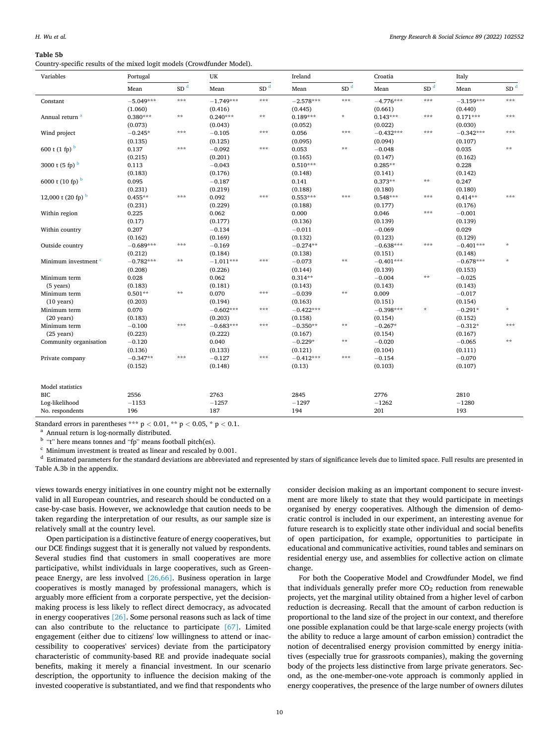# <span id="page-9-0"></span>**Table 5b**

Country-specific results of the mixed logit models (Crowdfunder Model).

| Variables                       | Portugal    |                   | UK          |                 | Ireland     |                 | Croatia     |                 | Italy       |                 |
|---------------------------------|-------------|-------------------|-------------|-----------------|-------------|-----------------|-------------|-----------------|-------------|-----------------|
|                                 | Mean        | $SD$ <sup>d</sup> | Mean        | SD <sup>d</sup> | Mean        | SD <sup>d</sup> | Mean        | SD <sup>d</sup> | Mean        | SD <sup>d</sup> |
| Constant                        | $-5.049***$ | ***               | $-1.749***$ | $* * *$         | $-2.578***$ | $* * *$         | $-4.776***$ | $* * *$         | $-3.159***$ | ***             |
|                                 | (1.060)     |                   | (0.416)     |                 | (0.445)     |                 | (0.661)     |                 | (0.440)     |                 |
| Annual return <sup>a</sup>      | $0.380***$  | $\star$ $\star$   | $0.240***$  | $**$            | $0.189***$  | $\frac{1}{N}$   | $0.143***$  | ***             | $0.171***$  | ***             |
|                                 | (0.073)     |                   | (0.043)     |                 | (0.052)     |                 | (0.022)     |                 | (0.030)     |                 |
| Wind project                    | $-0.245*$   | ***               | $-0.105$    | $* * *$         | 0.056       | $* * *$         | $-0.432***$ | ***             | $-0.342***$ | ***             |
|                                 | (0.135)     |                   | (0.125)     |                 | (0.095)     |                 | (0.094)     |                 | (0.107)     |                 |
| 600 t $(1 \text{ fp})^b$        | 0.137       | ***               | $-0.092$    | ***             | 0.053       | $* *$           | $-0.048$    |                 | 0.035       | **              |
|                                 | (0.215)     |                   | (0.201)     |                 | (0.165)     |                 | (0.147)     |                 | (0.162)     |                 |
| 3000 t $(5$ fp) $b$             | 0.113       |                   | $-0.043$    |                 | $0.510***$  |                 | $0.285**$   |                 | 0.228       |                 |
|                                 | (0.183)     |                   | (0.176)     |                 | (0.148)     |                 | (0.141)     |                 | (0.142)     |                 |
| 6000 t (10 fp) b                | 0.095       |                   | $-0.187$    |                 | 0.141       |                 | $0.373**$   | $\star$ $\star$ | 0.247       |                 |
|                                 | (0.231)     |                   | (0.219)     |                 | (0.188)     |                 | (0.180)     |                 | (0.180)     |                 |
| 12,000 t (20 fp) $b$            | $0.455**$   | ***               | 0.092       | ***             | $0.553***$  | $* * *$         | $0.548***$  | ***             | $0.414**$   | ***             |
|                                 | (0.231)     |                   | (0.229)     |                 | (0.188)     |                 | (0.177)     |                 | (0.176)     |                 |
| Within region                   | 0.225       |                   | 0.062       |                 | 0.000       |                 | 0.046       | ***             | $-0.001$    |                 |
|                                 | (0.17)      |                   | (0.177)     |                 | (0.136)     |                 | (0.139)     |                 | (0.139)     |                 |
| Within country                  | 0.207       |                   | $-0.134$    |                 | $-0.011$    |                 | $-0.069$    |                 | 0.029       |                 |
|                                 | (0.162)     |                   | (0.169)     |                 | (0.132)     |                 | (0.123)     |                 | (0.129)     |                 |
| Outside country                 | $-0.689***$ | ***               | $-0.169$    |                 | $-0.274**$  |                 | $-0.638***$ | ***             | $-0.401***$ | $\star$         |
|                                 | (0.212)     |                   | (0.184)     |                 | (0.138)     |                 | (0.151)     |                 | (0.148)     |                 |
| Minimum investment <sup>c</sup> | $-0.782***$ | $**$              | $-1.011***$ | ***             | $-0.073$    | $\star\star$    | $-0.401***$ |                 | $-0.678***$ | $\frac{1}{N}$   |
|                                 | (0.208)     |                   | (0.226)     |                 | (0.144)     |                 | (0.139)     |                 | (0.153)     |                 |
| Minimum term                    | 0.028       |                   | 0.062       |                 | $0.314**$   |                 | $-0.004$    | $\star$ $\star$ | $-0.025$    |                 |
| (5 years)                       | (0.183)     |                   | (0.181)     |                 | (0.143)     |                 | (0.143)     |                 | (0.143)     |                 |
| Minimum term                    | $0.501**$   | $\star$ $\star$   | 0.070       | ***             | $-0.039$    | $\star\star$    | 0.009       |                 | $-0.017$    |                 |
| $(10 \text{ years})$            | (0.203)     |                   | (0.194)     |                 | (0.163)     |                 | (0.151)     |                 | (0.154)     |                 |
| Minimum term                    | 0.070       |                   | $-0.602***$ | ***             | $-0.422***$ |                 | $-0.398***$ | $\star$         | $-0.291*$   | $\star$         |
| $(20 \text{ years})$            | (0.183)     |                   | (0.203)     |                 | (0.158)     |                 | (0.154)     |                 | (0.152)     |                 |
| Minimum term                    | $-0.100$    | ***               | $-0.683***$ | $* * *$         | $-0.350**$  | $\pm \pm$       | $-0.267*$   |                 | $-0.312*$   | ***             |
| $(25 \text{ years})$            | (0.223)     |                   | (0.222)     |                 | (0.167)     |                 | (0.154)     |                 | (0.167)     |                 |
| Community organisation          | $-0.120$    |                   | 0.040       |                 | $-0.229*$   | $\star\star$    | $-0.020$    |                 | $-0.065$    | **              |
|                                 | (0.136)     |                   | (0.133)     |                 | (0.121)     |                 | (0.104)     |                 | (0.111)     |                 |
| Private company                 | $-0.347**$  | ***               | $-0.127$    | ***             | $-0.412***$ | ***             | $-0.154$    |                 | $-0.070$    |                 |
|                                 | (0.152)     |                   | (0.148)     |                 | (0.13)      |                 | (0.103)     |                 | (0.107)     |                 |
| Model statistics                |             |                   |             |                 |             |                 |             |                 |             |                 |
| <b>BIC</b>                      | 2556        |                   | 2763        |                 | 2845        |                 | 2776        |                 | 2810        |                 |
| Log-likelihood                  | $-1153$     |                   | $-1257$     |                 | $-1297$     |                 | $-1262$     |                 | $-1280$     |                 |
| No. respondents                 | 196         |                   | 187         |                 | 194         |                 | 201         |                 | 193         |                 |

Standard errors in parentheses \*\*\*  $p < 0.01$ , \*\*  $p < 0.05$ , \*  $p < 0.1$ .<br><sup>a</sup> Annual return is log-normally distributed.<br><sup>b</sup> "t" here means tonnes and "fp" means football pitch(es).<br><sup>c</sup> Minimum investment is treated as line Table A.3b in the appendix.

views towards energy initiatives in one country might not be externally valid in all European countries, and research should be conducted on a case-by-case basis. However, we acknowledge that caution needs to be taken regarding the interpretation of our results, as our sample size is relatively small at the country level.

Open participation is a distinctive feature of energy cooperatives, but our DCE findings suggest that it is generally not valued by respondents. Several studies find that customers in small cooperatives are more participative, whilst individuals in large cooperatives, such as Greenpeace Energy, are less involved [\[26,66\].](#page-12-0) Business operation in large cooperatives is mostly managed by professional managers, which is arguably more efficient from a corporate perspective, yet the decisionmaking process is less likely to reflect direct democracy, as advocated in energy cooperatives [\[26\].](#page-12-0) Some personal reasons such as lack of time can also contribute to the reluctance to participate [\[67\].](#page-12-0) Limited engagement (either due to citizens' low willingness to attend or inaccessibility to cooperatives' services) deviate from the participatory characteristic of community-based RE and provide inadequate social benefits, making it merely a financial investment. In our scenario description, the opportunity to influence the decision making of the invested cooperative is substantiated, and we find that respondents who

consider decision making as an important component to secure investment are more likely to state that they would participate in meetings organised by energy cooperatives. Although the dimension of democratic control is included in our experiment, an interesting avenue for future research is to explicitly state other individual and social benefits of open participation, for example, opportunities to participate in educational and communicative activities, round tables and seminars on residential energy use, and assemblies for collective action on climate change.

For both the Cooperative Model and Crowdfunder Model, we find that individuals generally prefer more  $CO<sub>2</sub>$  reduction from renewable projects, yet the marginal utility obtained from a higher level of carbon reduction is decreasing. Recall that the amount of carbon reduction is proportional to the land size of the project in our context, and therefore one possible explanation could be that large-scale energy projects (with the ability to reduce a large amount of carbon emission) contradict the notion of decentralised energy provision committed by energy initiatives (especially true for grassroots companies), making the governing body of the projects less distinctive from large private generators. Second, as the one-member-one-vote approach is commonly applied in energy cooperatives, the presence of the large number of owners dilutes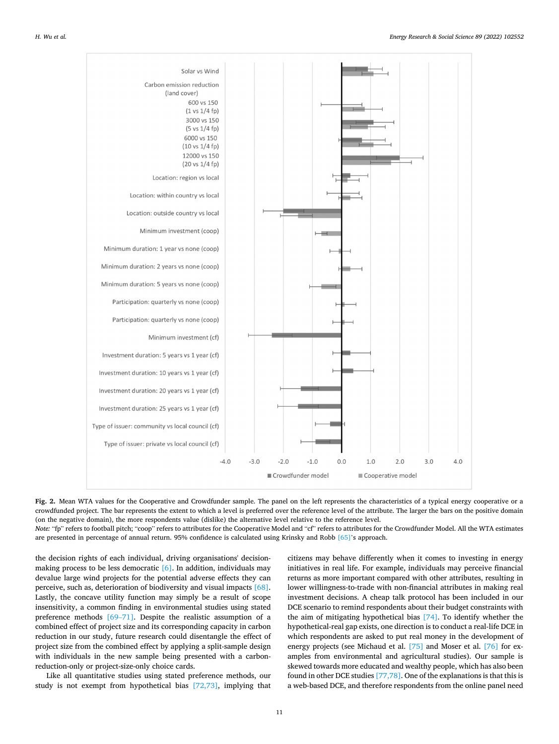<span id="page-10-0"></span>

**Fig. 2.** Mean WTA values for the Cooperative and Crowdfunder sample. The panel on the left represents the characteristics of a typical energy cooperative or a crowdfunded project. The bar represents the extent to which a level is preferred over the reference level of the attribute. The larger the bars on the positive domain (on the negative domain), the more respondents value (dislike) the alternative level relative to the reference level.

*Note:* "fp" refers to football pitch; "coop" refers to attributes for the Cooperative Model and "cf" refers to attributes for the Crowdfunder Model. All the WTA estimates are presented in percentage of annual return. 95% confidence is calculated using Krinsky and Robb [\[65\]](#page-12-0)'s approach.

the decision rights of each individual, driving organisations' decisionmaking process to be less democratic  $[6]$ . In addition, individuals may devalue large wind projects for the potential adverse effects they can perceive, such as, deterioration of biodiversity and visual impacts [\[68\]](#page-12-0). Lastly, the concave utility function may simply be a result of scope insensitivity, a common finding in environmental studies using stated preference methods [69–[71\].](#page-12-0) Despite the realistic assumption of a combined effect of project size and its corresponding capacity in carbon reduction in our study, future research could disentangle the effect of project size from the combined effect by applying a split-sample design with individuals in the new sample being presented with a carbonreduction-only or project-size-only choice cards.

Like all quantitative studies using stated preference methods, our study is not exempt from hypothetical bias [\[72,73\]](#page-12-0), implying that citizens may behave differently when it comes to investing in energy initiatives in real life. For example, individuals may perceive financial returns as more important compared with other attributes, resulting in lower willingness-to-trade with non-financial attributes in making real investment decisions. A cheap talk protocol has been included in our DCE scenario to remind respondents about their budget constraints with the aim of mitigating hypothetical bias [\[74\].](#page-13-0) To identify whether the hypothetical-real gap exists, one direction is to conduct a real-life DCE in which respondents are asked to put real money in the development of energy projects (see Michaud et al. [\[75\]](#page-13-0) and Moser et al. [\[76\]](#page-13-0) for examples from environmental and agricultural studies). Our sample is skewed towards more educated and wealthy people, which has also been found in other DCE studies [\[77,78\]](#page-13-0). One of the explanations is that this is a web-based DCE, and therefore respondents from the online panel need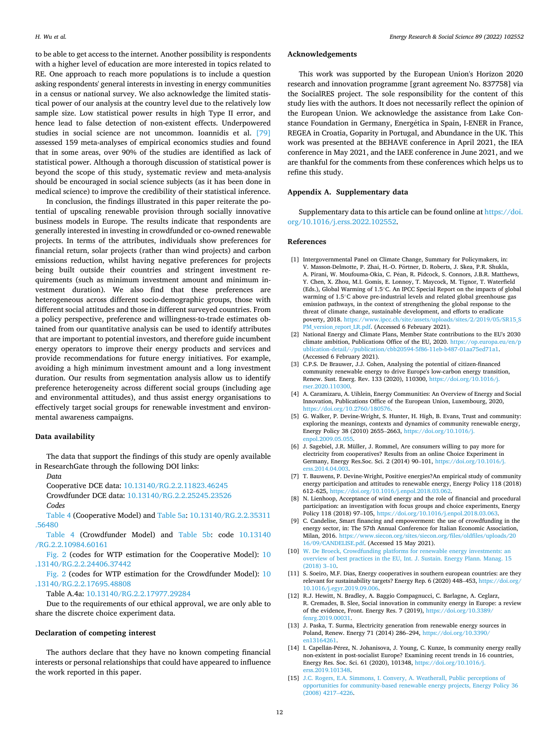<span id="page-11-0"></span>to be able to get access to the internet. Another possibility is respondents with a higher level of education are more interested in topics related to RE. One approach to reach more populations is to include a question asking respondents' general interests in investing in energy communities in a census or national survey. We also acknowledge the limited statistical power of our analysis at the country level due to the relatively low sample size. Low statistical power results in high Type II error, and hence lead to false detection of non-existent effects. Underpowered studies in social science are not uncommon. Ioannidis et al. [\[79\]](#page-13-0)  assessed 159 meta-analyses of empirical economics studies and found that in some areas, over 90% of the studies are identified as lack of statistical power. Although a thorough discussion of statistical power is beyond the scope of this study, systematic review and meta-analysis should be encouraged in social science subjects (as it has been done in medical science) to improve the credibility of their statistical inference.

In conclusion, the findings illustrated in this paper reiterate the potential of upscaling renewable provision through socially innovative business models in Europe. The results indicate that respondents are generally interested in investing in crowdfunded or co-owned renewable projects. In terms of the attributes, individuals show preferences for financial return, solar projects (rather than wind projects) and carbon emissions reduction, whilst having negative preferences for projects being built outside their countries and stringent investment requirements (such as minimum investment amount and minimum investment duration). We also find that these preferences are heterogeneous across different socio-demographic groups, those with different social attitudes and those in different surveyed countries. From a policy perspective, preference and willingness-to-trade estimates obtained from our quantitative analysis can be used to identify attributes that are important to potential investors, and therefore guide incumbent energy operators to improve their energy products and services and provide recommendations for future energy initiatives. For example, avoiding a high minimum investment amount and a long investment duration. Our results from segmentation analysis allow us to identify preference heterogeneity across different social groups (including age and environmental attitudes), and thus assist energy organisations to effectively target social groups for renewable investment and environmental awareness campaigns.

# **Data availability**

The data that support the findings of this study are openly available in ResearchGate through the following DOI links:

*Data* 

Cooperative DCE data: [10.13140/RG.2.2.11823.46245](https://doi.org/10.13140/RG.2.2.11823.46245) 

- Crowdfunder DCE data: [10.13140/RG.2.2.25245.23526](https://doi.org/10.13140/RG.2.2.25245.23526)
- *Codes*

[Table 4](#page-7-0) (Cooperative Model) and [Table 5a:](#page-8-0) [10.13140/RG.2.2.35311](https://doi.org/10.13140/RG.2.2.35311.56480)  [.56480](https://doi.org/10.13140/RG.2.2.35311.56480)

[Table 4](#page-7-0) (Crowdfunder Model) and [Table 5b:](#page-9-0) code [10.13140](https://doi.org/10.13140/RG.2.2.10984.60161)  [/RG.2.2.10984.60161](https://doi.org/10.13140/RG.2.2.10984.60161) 

[Fig. 2](#page-10-0) (codes for WTP estimation for the Cooperative Model): [10](https://doi.org/10.13140/RG.2.2.24406.37442)  [.13140/RG.2.2.24406.37442](https://doi.org/10.13140/RG.2.2.24406.37442) 

[Fig. 2](#page-10-0) (codes for WTP estimation for the Crowdfunder Model): [10](https://doi.org/10.13140/RG.2.2.17695.48808)  [.13140/RG.2.2.17695.48808](https://doi.org/10.13140/RG.2.2.17695.48808) 

Table A.4a: [10.13140/RG.2.2.17977.29284](https://doi.org/10.13140/RG.2.2.17977.29284)

Due to the requirements of our ethical approval, we are only able to share the discrete choice experiment data.

# **Declaration of competing interest**

The authors declare that they have no known competing financial interests or personal relationships that could have appeared to influence the work reported in this paper.

#### **Acknowledgements**

This work was supported by the European Union's Horizon 2020 research and innovation programme [grant agreement No. 837758] via the SocialRES project. The sole responsibility for the content of this study lies with the authors. It does not necessarily reflect the opinion of the European Union. We acknowledge the assistance from Lake Constance Foundation in Germany, Energética in Spain, I-ENER in France, REGEA in Croatia, Goparity in Portugal, and Abundance in the UK. This work was presented at the BEHAVE conference in April 2021, the IEA conference in May 2021, and the IAEE conference in June 2021, and we are thankful for the comments from these conferences which helps us to refine this study.

#### **Appendix A. Supplementary data**

Supplementary data to this article can be found online at [https://doi.](https://doi.org/10.1016/j.erss.2022.102552)  [org/10.1016/j.erss.2022.102552](https://doi.org/10.1016/j.erss.2022.102552).

#### **References**

- [1] Intergovernmental Panel on Climate Change, Summary for Policymakers, in: V. Masson-Delmotte, P. Zhai, H.-O. Pörtner, D. Roberts, J. Skea, P.R. Shukla, A. Pirani, W. Moufouma-Okia, C. Péan, R. Pidcock, S. Connors, J.B.R. Matthews, Y. Chen, X. Zhou, M.I. Gomis, E. Lonnoy, T. Maycock, M. Tignor, T. Waterfield (Eds.), Global Warming of 1.5◦C. An IPCC Special Report on the impacts of global warming of 1.5℃ above pre-industrial levels and related global greenhouse gas emission pathways, in the context of strengthening the global response to the threat of climate change, sustainable development, and efforts to eradicate poverty, 2018. [https://www.ipcc.ch/site/assets/uploads/sites/2/2019/05/SR15\\_S](https://www.ipcc.ch/site/assets/uploads/sites/2/2019/05/SR15_SPM_version_report_LR.pdf)  [PM\\_version\\_report\\_LR.pdf](https://www.ipcc.ch/site/assets/uploads/sites/2/2019/05/SR15_SPM_version_report_LR.pdf). (Accessed 6 February 2021).
- [2] National Energy and Climate Plans, Member State contributions to the EU's 2030 climate ambition, Publications Office of the EU, 2020. [https://op.europa.eu/en/p](https://op.europa.eu/en/publication-detail/-/publication/cbb20594-5f86-11eb-b487-01aa75ed71a1)  [ublication-detail/-/publication/cbb20594-5f86-11eb-b487-01aa75ed71a1](https://op.europa.eu/en/publication-detail/-/publication/cbb20594-5f86-11eb-b487-01aa75ed71a1). (Accessed 6 February 2021).
- [3] C.P.S. De Brauwer, J.J. Cohen, Analysing the potential of citizen-financed community renewable energy to drive Europe's low-carbon energy transition, Renew. Sust. Energ. Rev. 133 (2020), 110300, [https://doi.org/10.1016/j.](https://doi.org/10.1016/j.rser.2020.110300) [rser.2020.110300](https://doi.org/10.1016/j.rser.2020.110300).
- [4] A. Caramizaru, A. Uihlein, Energy Communities: An Overview of Energy and Social Innovation, Publications Office of the European Union, Luxembourg, 2020, <https://doi.org/10.2760/180576>.
- [5] G. Walker, P. Devine-Wright, S. Hunter, H. High, B. Evans, Trust and community: exploring the meanings, contexts and dynamics of community renewable energy, Energy Policy 38 (2010) 2655–2663, [https://doi.org/10.1016/j.](https://doi.org/10.1016/j.enpol.2009.05.055) [enpol.2009.05.055](https://doi.org/10.1016/j.enpol.2009.05.055).
- [6] J. Sagebiel, J.R. Müller, J. Rommel, Are consumers willing to pay more for electricity from cooperatives? Results from an online Choice Experiment in Germany, Energy Res.Soc. Sci. 2 (2014) 90–101, [https://doi.org/10.1016/j.](https://doi.org/10.1016/j.erss.2014.04.003) [erss.2014.04.003](https://doi.org/10.1016/j.erss.2014.04.003).
- [7] T. Bauwens, P. Devine-Wright, Positive energies?An empirical study of community energy participation and attitudes to renewable energy, Energy Policy 118 (2018) 612–625, <https://doi.org/10.1016/j.enpol.2018.03.062>.
- [8] N. Lienhoop, Acceptance of wind energy and the role of financial and procedural participation: an investigation with focus groups and choice experiments, Energy Policy 118 (2018) 97–105, <https://doi.org/10.1016/j.enpol.2018.03.063>.
- [9] C. Candelise, Smart financing and empowerment: the use of crowdfunding in the energy sector, in: The 57th Annual Conference for Italian Economic Association, Milan, 2016. [https://www.siecon.org/sites/siecon.org/files/oldfiles/uploads/20](https://www.siecon.org/sites/siecon.org/files/oldfiles/uploads/2016/09/CANDELISE.pdf) [16/09/CANDELISE.pdf](https://www.siecon.org/sites/siecon.org/files/oldfiles/uploads/2016/09/CANDELISE.pdf). (Accessed 15 May 2021).
- [10] [W. De Broeck, Crowdfunding platforms for renewable energy investments: an](http://refhub.elsevier.com/S2214-6296(22)00058-5/rf202203030306265490) [overview of best practices in the EU, Int. J. Sustain. Energy Plann. Manag. 15](http://refhub.elsevier.com/S2214-6296(22)00058-5/rf202203030306265490) [\(2018\) 3](http://refhub.elsevier.com/S2214-6296(22)00058-5/rf202203030306265490)–10.
- [11] S. Soeiro, M.F. Dias, Energy cooperatives in southern european countries: are they relevant for sustainability targets? Energy Rep. 6 (2020) 448–453, [https://doi.org/](https://doi.org/10.1016/j.egyr.2019.09.006)  [10.1016/j.egyr.2019.09.006](https://doi.org/10.1016/j.egyr.2019.09.006).
- [12] R.J. Hewitt, N. Bradley, A. Baggio Compagnucci, C. Barlagne, A. Ceglarz, R. Cremades, B. Slee, Social innovation in community energy in Europe: a review of the evidence, Front. Energy Res. 7 (2019), [https://doi.org/10.3389/](https://doi.org/10.3389/fenrg.2019.00031)  [fenrg.2019.00031.](https://doi.org/10.3389/fenrg.2019.00031)
- [13] J. Paska, T. Surma, Electricity generation from renewable energy sources in Poland, Renew. Energy 71 (2014) 286–294, [https://doi.org/10.3390/](https://doi.org/10.3390/en13164261) [en13164261.](https://doi.org/10.3390/en13164261)
- [14] I. Capellán-Pérez, N. Johanisova, J. Young, C. Kunze, Is community energy really non-existent in post-socialist Europe? Examining recent trends in 16 countries, Energy Res. Soc. Sci. 61 (2020), 101348, [https://doi.org/10.1016/j.](https://doi.org/10.1016/j.erss.2019.101348)  [erss.2019.101348](https://doi.org/10.1016/j.erss.2019.101348).
- [15] [J.C. Rogers, E.A. Simmons, I. Convery, A. Weatherall, Public perceptions of](http://refhub.elsevier.com/S2214-6296(22)00058-5/rf202203030319041193)  [opportunities for community-based renewable energy projects, Energy Policy 36](http://refhub.elsevier.com/S2214-6296(22)00058-5/rf202203030319041193) [\(2008\) 4217](http://refhub.elsevier.com/S2214-6296(22)00058-5/rf202203030319041193)–4226.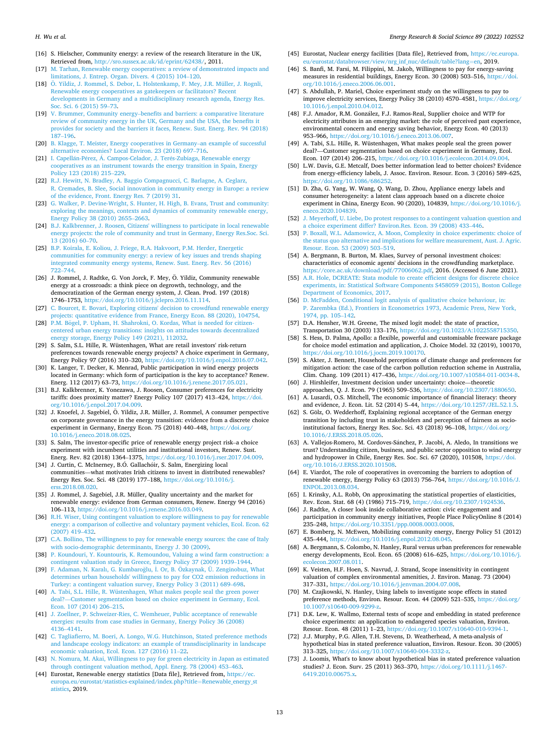- <span id="page-12-0"></span>[16] S. Hielscher, Community energy: a review of the research literature in the UK, Retrieved from, [http://sro.sussex.ac.uk/id/eprint/62438/,](http://sro.sussex.ac.uk/id/eprint/62438/) 2011.
- [17] [M. Tarhan, Renewable energy cooperatives: a review of demonstrated impacts and](http://refhub.elsevier.com/S2214-6296(22)00058-5/rf202203030307586806)  [limitations, J. Entrep. Organ. Divers. 4 \(2015\) 104](http://refhub.elsevier.com/S2214-6296(22)00058-5/rf202203030307586806)–120.
- [18] Ö. Yildiz, J. Rommel, S. Debor, L. Holstenkamp, F. Mey, J.R. Müller, J. Rognli, [Renewable energy cooperatives as gatekeepers or facilitators? Recent](http://refhub.elsevier.com/S2214-6296(22)00058-5/rf202203030308151431)  [developments in Germany and a multidisciplinary research agenda, Energy Res.](http://refhub.elsevier.com/S2214-6296(22)00058-5/rf202203030308151431) [Soc. Sci. 6 \(2015\) 59](http://refhub.elsevier.com/S2214-6296(22)00058-5/rf202203030308151431)–73.
- [19] V. Brummer, Community energy–[benefits and barriers: a comparative literature](http://refhub.elsevier.com/S2214-6296(22)00058-5/rf202203030319075038) [review of community energy in the UK, Germany and the USA, the benefits it](http://refhub.elsevier.com/S2214-6296(22)00058-5/rf202203030319075038)  [provides for society and the barriers it faces, Renew. Sust. Energ. Rev. 94 \(2018\)](http://refhub.elsevier.com/S2214-6296(22)00058-5/rf202203030319075038)  187–[196.](http://refhub.elsevier.com/S2214-6296(22)00058-5/rf202203030319075038)
- [20] [B. Klagge, T. Meister, Energy cooperatives in Germany](http://refhub.elsevier.com/S2214-6296(22)00058-5/rf202203030319088188)–an example of successful [alternative economies? Local Environ. 23 \(2018\) 697](http://refhub.elsevier.com/S2214-6296(22)00058-5/rf202203030319088188)–716.
- [21] I. Capellán-Pérez, Á. Campos-Celador, J. Terés-Zubiaga, Renewable energy [cooperatives as an instrument towards the energy transition in Spain, Energy](http://refhub.elsevier.com/S2214-6296(22)00058-5/rf202203030319106997)  [Policy 123 \(2018\) 215](http://refhub.elsevier.com/S2214-6296(22)00058-5/rf202203030319106997)–229.
- [22] [R.J. Hewitt, N. Bradley, A. Baggio Compagnucci, C. Barlagne, A. Ceglarz,](http://refhub.elsevier.com/S2214-6296(22)00058-5/rf202203030308368574) [R. Cremades, B. Slee, Social innovation in community energy in Europe: a review](http://refhub.elsevier.com/S2214-6296(22)00058-5/rf202203030308368574)  [of the evidence, Front. Energy Res. 7 \(2019\) 31](http://refhub.elsevier.com/S2214-6296(22)00058-5/rf202203030308368574).
- [23] G. Walker, P. Devine-Wright, S. Hunter, H. High, B. Evans, Trust and community: [exploring the meanings, contexts and dynamics of community renewable energy,](http://refhub.elsevier.com/S2214-6296(22)00058-5/rf202203030319130930)  [Energy Policy 38 \(2010\) 2655](http://refhub.elsevier.com/S2214-6296(22)00058-5/rf202203030319130930)–2663.
- [24] [B.J. Kalkbrenner, J. Roosen, Citizens' willingness to participate in local renewable](http://refhub.elsevier.com/S2214-6296(22)00058-5/rf202203030308532888)  [energy projects: the role of community and trust in Germany, Energy Res.Soc. Sci.](http://refhub.elsevier.com/S2214-6296(22)00058-5/rf202203030308532888)  [13 \(2016\) 60](http://refhub.elsevier.com/S2214-6296(22)00058-5/rf202203030308532888)–70.
- [25] [B.P. Koirala, E. Koliou, J. Friege, R.A. Hakvoort, P.M. Herder, Energetic](http://refhub.elsevier.com/S2214-6296(22)00058-5/rf202203030319149692) [communities for community energy: a review of key issues and trends shaping](http://refhub.elsevier.com/S2214-6296(22)00058-5/rf202203030319149692)  [integrated community energy systems, Renew. Sust. Energ. Rev. 56 \(2016\)](http://refhub.elsevier.com/S2214-6296(22)00058-5/rf202203030319149692)  722–[744.](http://refhub.elsevier.com/S2214-6296(22)00058-5/rf202203030319149692)
- [26] J. Rommel, J. Radtke, G. Von Jorck, F. Mey, Ö. Yildiz, Community renewable energy at a crossroads: a think piece on degrowth, technology, and the democratization of the German energy system, J. Clean. Prod. 197 (2018) 1746–1753, <https://doi.org/10.1016/j.jclepro.2016.11.114>. [27] [C. Bourcet, E. Bovari, Exploring citizens' decision to crowdfund renewable energy](http://refhub.elsevier.com/S2214-6296(22)00058-5/rf202203030319293236)
- [projects: quantitative evidence from France, Energy Econ. 88 \(2020\), 104754](http://refhub.elsevier.com/S2214-6296(22)00058-5/rf202203030319293236).
- [28] P.M. Bögel, [P. Upham, H. Shahrokni, O. Kordas, What is needed for citizen](http://refhub.elsevier.com/S2214-6296(22)00058-5/rf202203030319331300)[centered urban energy transitions: insights on attitudes towards decentralized](http://refhub.elsevier.com/S2214-6296(22)00058-5/rf202203030319331300) ergy storage, Energy Policy 149 (2021), 112032.
- [29] S. Salm, S.L. Hille, R. Wüstenhagen, What are retail investors' risk-return preferences towards renewable energy projects? A choice experiment in Germany, Energy Policy 97 (2016) 310–320, <https://doi.org/10.1016/j.enpol.2016.07.042>.
- [30] K. Langer, T. Decker, K. Menrad, Public participation in wind energy projects located in Germany: which form of participation is the key to acceptance? Renew. Energ. 112 (2017) 63–73, <https://doi.org/10.1016/j.renene.2017.05.021>.
- [31] B.J. Kalkbrenner, K. Yonezawa, J. Roosen, Consumer preferences for electricity tariffs: does proximity matter? Energy Policy 107 (2017) 413–424, [https://doi.](https://doi.org/10.1016/j.enpol.2017.04.009) [org/10.1016/j.enpol.2017.04.009.](https://doi.org/10.1016/j.enpol.2017.04.009)
- [32] J. Knoefel, J. Sagebiel, Ö. Yildiz, J.R. Müller, J. Rommel, A consumer perspective on corporate governance in the energy transition: evidence from a discrete choice experiment in Germany, Energy Econ. 75 (2018) 440–448, [https://doi.org/](https://doi.org/10.1016/j.eneco.2018.08.025) [10.1016/j.eneco.2018.08.025](https://doi.org/10.1016/j.eneco.2018.08.025).
- [33] S. Salm, The investor-specific price of renewable energy project risk–a choice experiment with incumbent utilities and institutional investors, Renew. Sust. Energ. Rev. 82 (2018) 1364–1375,<https://doi.org/10.1016/j.rser.2017.04.009>.
- [34] J. Curtin, C. McInerney, B.O. Gallachóir, S. Salm, Energizing local communities—what motivates Irish citizens to invest in distributed renewables? Energy Res. Soc. Sci. 48 (2019) 177–188, [https://doi.org/10.1016/j.](https://doi.org/10.1016/j.erss.2018.08.020) [erss.2018.08.020.](https://doi.org/10.1016/j.erss.2018.08.020)
- [35] J. Rommel, J. Sagebiel, J.R. Müller, Quality uncertainty and the market for renewable energy: evidence from German consumers, Renew. Energy 94 (2016) 106–113, <https://doi.org/10.1016/j.renene.2016.03.049>.
- [36] [R.H. Wiser, Using contingent valuation to explore willingness to pay for renewable](http://refhub.elsevier.com/S2214-6296(22)00058-5/rf202203030320113584)  [energy: a comparison of collective and voluntary payment vehicles, Ecol. Econ. 62](http://refhub.elsevier.com/S2214-6296(22)00058-5/rf202203030320113584)  [\(2007\) 419](http://refhub.elsevier.com/S2214-6296(22)00058-5/rf202203030320113584)–432.
- [37] [C.A. Bollino, The willingness to pay for renewable energy sources: the case of Italy](http://refhub.elsevier.com/S2214-6296(22)00058-5/rf202203030309352500)  [with socio-demographic determinants, Energy J. 30 \(2009\).](http://refhub.elsevier.com/S2214-6296(22)00058-5/rf202203030309352500)
- [38] [P. Koundouri, Y. Kountouris, K. Remoundou, Valuing a wind farm construction: a](http://refhub.elsevier.com/S2214-6296(22)00058-5/rf202203030320152440)  [contingent valuation study in Greece, Energy Policy 37 \(2009\) 1939](http://refhub.elsevier.com/S2214-6296(22)00058-5/rf202203030320152440)–1944.
- [39] F. Adaman, N. Karalı, G. Kumbaroğlu, İ. Or, B. Özkaynak, Ü. Zenginobuz, What [determines urban households' willingness to pay for CO2 emission reductions in](http://refhub.elsevier.com/S2214-6296(22)00058-5/rf202203030309441270)  [Turkey: a contingent valuation survey, Energy Policy 3 \(2011\) 689](http://refhub.elsevier.com/S2214-6296(22)00058-5/rf202203030309441270)–698.
- [40] [A. Tabi, S.L. Hille, R. Wüstenhagen, What makes people seal the green power](http://refhub.elsevier.com/S2214-6296(22)00058-5/rf202203030320188705)  deal?—[Customer segmentation based on choice experiment in Germany, Ecol.](http://refhub.elsevier.com/S2214-6296(22)00058-5/rf202203030320188705) [Econ. 107 \(2014\) 206](http://refhub.elsevier.com/S2214-6296(22)00058-5/rf202203030320188705)–215.
- [41] [J. Zoellner, P. Schweizer-Ries, C. Wemheuer, Public acceptance of renewable](http://refhub.elsevier.com/S2214-6296(22)00058-5/rf202203030320213675) [energies: results from case studies in Germany, Energy Policy 36 \(2008\)](http://refhub.elsevier.com/S2214-6296(22)00058-5/rf202203030320213675) [4136](http://refhub.elsevier.com/S2214-6296(22)00058-5/rf202203030320213675)–4141.
- [42] [C. Tagliafierro, M. Boeri, A. Longo, W.G. Hutchinson, Stated preference methods](http://refhub.elsevier.com/S2214-6296(22)00058-5/rf202203030320242933)  [and landscape ecology indicators: an example of transdisciplinarity in landscape](http://refhub.elsevier.com/S2214-6296(22)00058-5/rf202203030320242933)  [economic valuation, Ecol. Econ. 127 \(2016\) 11](http://refhub.elsevier.com/S2214-6296(22)00058-5/rf202203030320242933)–22.
- [43] [N. Nomura, M. Akai, Willingness to pay for green electricity in Japan as estimated](http://refhub.elsevier.com/S2214-6296(22)00058-5/rf202203030309465514)  [through contingent valuation method, Appl. Energ. 78 \(2004\) 453](http://refhub.elsevier.com/S2214-6296(22)00058-5/rf202203030309465514)–463.
- [44] Eurostat, Renewable energy statistics [Data file], Retrieved from, [https://ec.](https://ec.europa.eu/eurostat/statistics-explained/index.php?title=Renewable_energy_statistics) [europa.eu/eurostat/statistics-explained/index.php?title](https://ec.europa.eu/eurostat/statistics-explained/index.php?title=Renewable_energy_statistics)=Renewable\_energy\_st [atistics,](https://ec.europa.eu/eurostat/statistics-explained/index.php?title=Renewable_energy_statistics) 2019.
- [45] Eurostat, Nuclear energy facilities [Data file], Retrieved from, [https://ec.europa.](https://ec.europa.eu/eurostat/databrowser/view/nrg_inf_nuc/default/table?lang=en) [eu/eurostat/databrowser/view/nrg\\_inf\\_nuc/default/table?lang](https://ec.europa.eu/eurostat/databrowser/view/nrg_inf_nuc/default/table?lang=en)=en, 2019.
- [46] S. Banfi, M. Farsi, M. Filippini, M. Jakob, Willingness to pay for energy-saving measures in residential buildings, Energy Econ. 30 (2008) 503–516, [https://doi.](https://doi.org/10.1016/j.eneco.2006.06.001) [org/10.1016/j.eneco.2006.06.001.](https://doi.org/10.1016/j.eneco.2006.06.001)
- [47] S. Abdullah, P. Mariel, Choice experiment study on the willingness to pay to improve electricity services, Energy Policy 38 (2010) 4570–4581, [https://doi.org/](https://doi.org/10.1016/j.enpol.2010.04.012)  [10.1016/j.enpol.2010.04.012.](https://doi.org/10.1016/j.enpol.2010.04.012)
- [48] F.J. Amador, R.M. González, F.J. Ramos-Real, Supplier choice and WTP for electricity attributes in an emerging market: the role of perceived past experience, environmental concern and energy saving behavior, Energy Econ. 40 (2013) 953–966, <https://doi.org/10.1016/j.eneco.2013.06.007>.
- [49] A. Tabi, S.L. Hille, R. Wüstenhagen, What makes people seal the green power deal?—Customer segmentation based on choice experiment in Germany, Ecol. Econ. 107 (2014) 206–215, <https://doi.org/10.1016/j.ecolecon.2014.09.004>.
- L.W. Davis, G.E. Metcalf, Does better information lead to better choices? Evidence from energy-efficiency labels, J. Assoc. Environ. Resour. Econ. 3 (2016) 589–625, <https://doi.org/10.1086/686252>.
- [51] D. Zha, G. Yang, W. Wang, Q. Wang, D. Zhou, Appliance energy labels and consumer heterogeneity: a latent class approach based on a discrete choice experiment in China, Energy Econ. 90 (2020), 104839, [https://doi.org/10.1016/j.](https://doi.org/10.1016/j.eneco.2020.104839)  [eneco.2020.104839.](https://doi.org/10.1016/j.eneco.2020.104839)
- [52] [J. Meyerhoff, U. Liebe, Do protest responses to a contingent valuation question and](http://refhub.elsevier.com/S2214-6296(22)00058-5/rf202203030311052055)  [a choice experiment differ? Environ.Res. Econ. 39 \(2008\) 433](http://refhub.elsevier.com/S2214-6296(22)00058-5/rf202203030311052055)–446.
- [53] [P. Boxall, W.L. Adamowicz, A. Moon, Complexity in choice experiments: choice of](http://refhub.elsevier.com/S2214-6296(22)00058-5/rf202203030311244340)  [the status quo alternative and implications for welfare measurement, Aust. J. Agric.](http://refhub.elsevier.com/S2214-6296(22)00058-5/rf202203030311244340)  [Resour. Econ. 53 \(2009\) 503](http://refhub.elsevier.com/S2214-6296(22)00058-5/rf202203030311244340)–519.
- [54] A. Bergmann, B. Burton, M. Klaes, Survey of personal investment choices: characteristics of economic agents' decisions in the crowdfunding marketplace. <https://core.ac.uk/download/pdf/77006062.pdf>, 2016. (Accessed 6 June 2021).
- [55] [A.R. Hole, DCREATE: Stata module to create efficient designs for discrete choice](http://refhub.elsevier.com/S2214-6296(22)00058-5/rf202203030318487935) [experiments, in: Statistical Software Components S458059 \(2015\), Boston College](http://refhub.elsevier.com/S2214-6296(22)00058-5/rf202203030318487935)  [Department of Economics, 2017.](http://refhub.elsevier.com/S2214-6296(22)00058-5/rf202203030318487935)
- [56] [D. McFadden, Conditional logit analysis of qualitative choice behaviour, in:](http://refhub.elsevier.com/S2214-6296(22)00058-5/rf202203030312124164) [P. Zarembka \(Ed.\), Frontiers in Econometrics 1973, Academic Press, New York,](http://refhub.elsevier.com/S2214-6296(22)00058-5/rf202203030312124164) [1974, pp. 105](http://refhub.elsevier.com/S2214-6296(22)00058-5/rf202203030312124164)–142.
- [57] D.A. Hensher, W.H. Greene, The mixed logit model: the state of practice, Transportation 30 (2003) 133–176, [https://doi.org/10.1023/A:1022558715350.](https://doi.org/10.1023/A:1022558715350)
- [58] S. Hess, D. Palma, Apollo: a flexible, powerful and customisable freeware package for choice model estimation and application, J. Choice Model. 32 (2019), 100170, [https://doi.org/10.1016/j.jocm.2019.100170.](https://doi.org/10.1016/j.jocm.2019.100170)
- [59] S. Akter, J. Bennett, Household perceptions of climate change and preferences for mitigation action: the case of the carbon pollution reduction scheme in Australia, Clim. Chang. 109 (2011) 417–436, <https://doi.org/10.1007/s10584-011-0034-8>.
- [60] J. Hirshleifer, Investment decision under uncertainty: choice—theoretic approaches, Q. J. Econ. 79 (1965) 509–536,<https://doi.org/10.2307/1880650>.
- [61] A. Lusardi, O.S. Mitchell, The economic importance of financial literacy: theory and evidence, J. Econ. Lit. 52 (2014) 5–44, [https://doi.org/10.1257/JEL.52.1.5.](https://doi.org/10.1257/JEL.52.1.5)
- [62] S. Gölz, O. Wedderhoff, Explaining regional acceptance of the German energy transition by including trust in stakeholders and perception of fairness as socioinstitutional factors, Energy Res. Soc. Sci. 43 (2018) 96–108, [https://doi.org/](https://doi.org/10.1016/J.ERSS.2018.05.026)  [10.1016/J.ERSS.2018.05.026.](https://doi.org/10.1016/J.ERSS.2018.05.026)
- [63] A. Vallejos-Romero, M. Cordoves-Sánchez, P. Jacobi, A. Aledo, In transitions we trust? Understanding citizen, business, and public sector opposition to wind energy and hydropower in Chile, Energy Res. Soc. Sci. 67 (2020), 101508, [https://doi.](https://doi.org/10.1016/J.ERSS.2020.101508) [org/10.1016/J.ERSS.2020.101508.](https://doi.org/10.1016/J.ERSS.2020.101508)
- [64] E. Viardot, The role of cooperatives in overcoming the barriers to adoption of renewable energy, Energy Policy 63 (2013) 756–764, [https://doi.org/10.1016/J.](https://doi.org/10.1016/J.ENPOL.2013.08.034)  [ENPOL.2013.08.034.](https://doi.org/10.1016/J.ENPOL.2013.08.034)
- [65] I. Krinsky, A.L. Robb, On approximating the statistical properties of elasticities, Rev. Econ. Stat. 68 (4) (1986) 715–719, [https://doi.org/10.2307/1924536.](https://doi.org/10.2307/1924536)
- [66] J. Radtke, A closer look inside collaborative action: civic engagement and participation in community energy initiatives, People Place PolicyOnline 8 (2014) 235–248, [https://doi.org/10.3351/ppp.0008.0003.0008.](https://doi.org/10.3351/ppp.0008.0003.0008)
- [67] E. Bomberg, N. McEwen, Mobilizing community energy, Energy Policy 51 (2012) 435–444, [https://doi.org/10.1016/j.enpol.2012.08.045.](https://doi.org/10.1016/j.enpol.2012.08.045)
- [68] A. Bergmann, S. Colombo, N. Hanley, Rural versus urban preferences for renewable energy developments, Ecol. Econ. 65 (2008) 616–625, [https://doi.org/10.1016/j.](https://doi.org/10.1016/j.ecolecon.2007.08.011)  [ecolecon.2007.08.011](https://doi.org/10.1016/j.ecolecon.2007.08.011).
- [69] K. Veisten, H.F. Hoen, S. Navrud, J. Strand, Scope insensitivity in contingent valuation of complex environmental amenities, J. Environ. Manag. 73 (2004) 317–331, <https://doi.org/10.1016/j.jenvman.2004.07.008>.
- [70] M. Czajkowski, N. Hanley, Using labels to investigate scope effects in stated preference methods, Environ. Resour. Econ. 44 (2009) 521–535, [https://doi.org/](https://doi.org/10.1007/s10640-009-9299-z)  [10.1007/s10640-009-9299-z](https://doi.org/10.1007/s10640-009-9299-z).
- [71] D.K. Lew, K. Wallmo, External tests of scope and embedding in stated preference choice experiments: an application to endangered species valuation, Environ. Resour. Econ. 48 (2011) 1–23, [https://doi.org/10.1007/s10640-010-9394-1.](https://doi.org/10.1007/s10640-010-9394-1)
- [72] J.J. Murphy, P.G. Allen, T.H. Stevens, D. Weatherhead, A meta-analysis of hypothetical bias in stated preference valuation, Environ. Resour. Econ. 30 (2005) 313–325, <https://doi.org/10.1007/s10640-004-3332-z>.
- [73] J. Loomis, What's to know about hypothetical bias in stated preference valuation studies? J. Econ. Surv. 25 (2011) 363–370, [https://doi.org/10.1111/j.1467-](https://doi.org/10.1111/j.1467-6419.2010.00675.x) [6419.2010.00675.x](https://doi.org/10.1111/j.1467-6419.2010.00675.x).